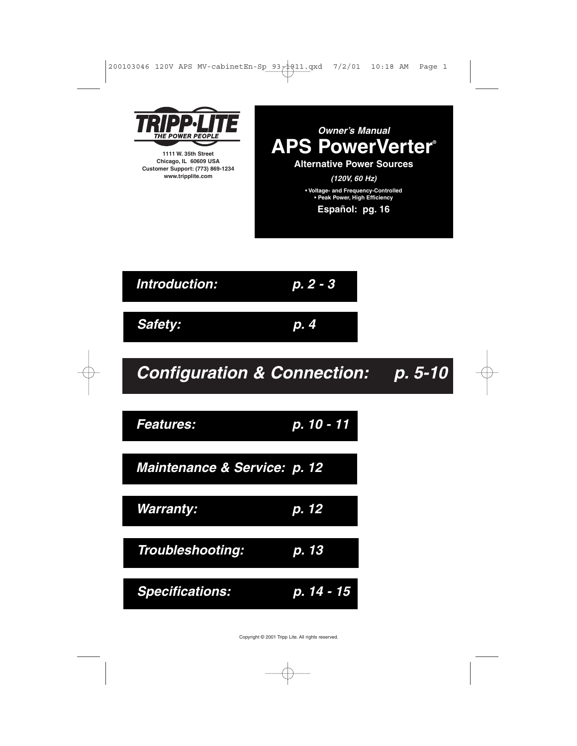



**1111 W. 35th Street Chicago, IL 60609 USA Customer Support: (773) 869-1234 www.tripplite.com**



**Configuration & Connection: p. 5-10 Features: p. 10 - 11 Warranty: p. 12 Troubleshooting: p. 13 Safety: p. 4 Introduction: p. 2 - 3 Maintenance & Service: p. 12 Specifications: p. 14 - 15**

Copyright © 2001 Tripp Lite. All rights reserved.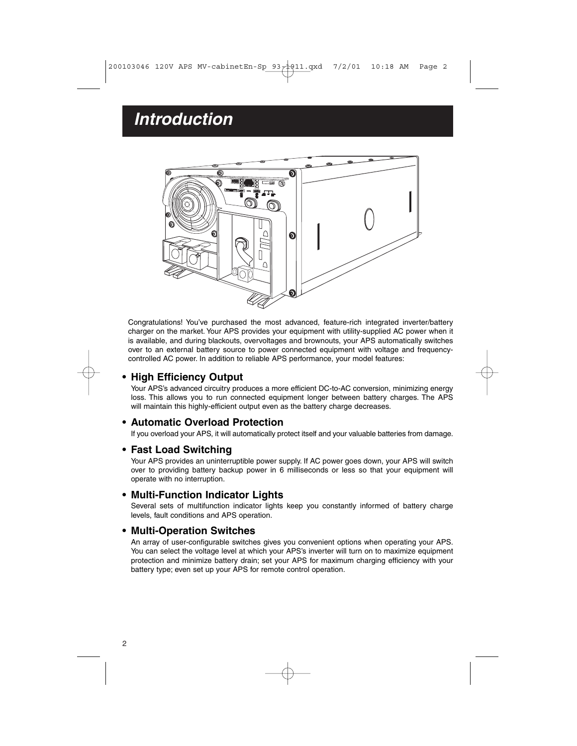# **Introduction**



Congratulations! You've purchased the most advanced, feature-rich integrated inverter/battery charger on the market. Your APS provides your equipment with utility-supplied AC power when it is available, and during blackouts, overvoltages and brownouts, your APS automatically switches over to an external battery source to power connected equipment with voltage and frequencycontrolled AC power. In addition to reliable APS performance, your model features:

# **• High Efficiency Output**

Your APS's advanced circuitry produces a more efficient DC-to-AC conversion, minimizing energy loss. This allows you to run connected equipment longer between battery charges. The APS will maintain this highly-efficient output even as the battery charge decreases.

### **• Automatic Overload Protection**

If you overload your APS, it will automatically protect itself and your valuable batteries from damage.

### **• Fast Load Switching**

Your APS provides an uninterruptible power supply. If AC power goes down, your APS will switch over to providing battery backup power in 6 milliseconds or less so that your equipment will operate with no interruption.

#### **• Multi-Function Indicator Lights**

Several sets of multifunction indicator lights keep you constantly informed of battery charge levels, fault conditions and APS operation.

#### **• Multi-Operation Switches**

An array of user-configurable switches gives you convenient options when operating your APS. You can select the voltage level at which your APS's inverter will turn on to maximize equipment protection and minimize battery drain; set your APS for maximum charging efficiency with your battery type; even set up your APS for remote control operation.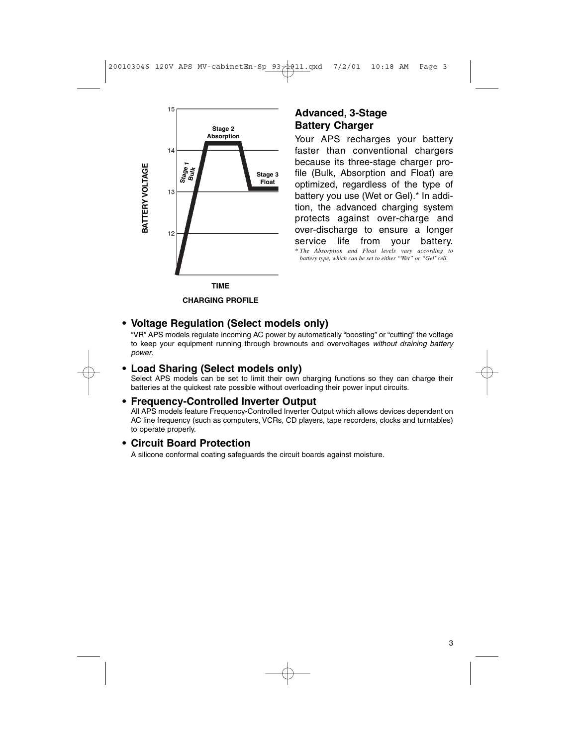

# **Advanced, 3-Stage Battery Charger**

Your APS recharges your battery faster than conventional chargers because its three-stage charger profile (Bulk, Absorption and Float) are optimized, regardless of the type of battery you use (Wet or Gel).\* In addition, the advanced charging system protects against over-charge and over-discharge to ensure a longer service life from your battery. *\* The Absorption and Float levels vary according to battery type, which can be set to either "Wet" or "Gel"cell.*

**CHARGING PROFILE**

# **• Voltage Regulation (Select models only)**

"VR" APS models regulate incoming AC power by automatically "boosting" or "cutting" the voltage to keep your equipment running through brownouts and overvoltages without draining battery power.

### **• Load Sharing (Select models only)**

Select APS models can be set to limit their own charging functions so they can charge their batteries at the quickest rate possible without overloading their power input circuits.

# **• Frequency-Controlled Inverter Output**

All APS models feature Frequency-Controlled Inverter Output which allows devices dependent on AC line frequency (such as computers, VCRs, CD players, tape recorders, clocks and turntables) to operate properly.

# **• Circuit Board Protection**

A silicone conformal coating safeguards the circuit boards against moisture.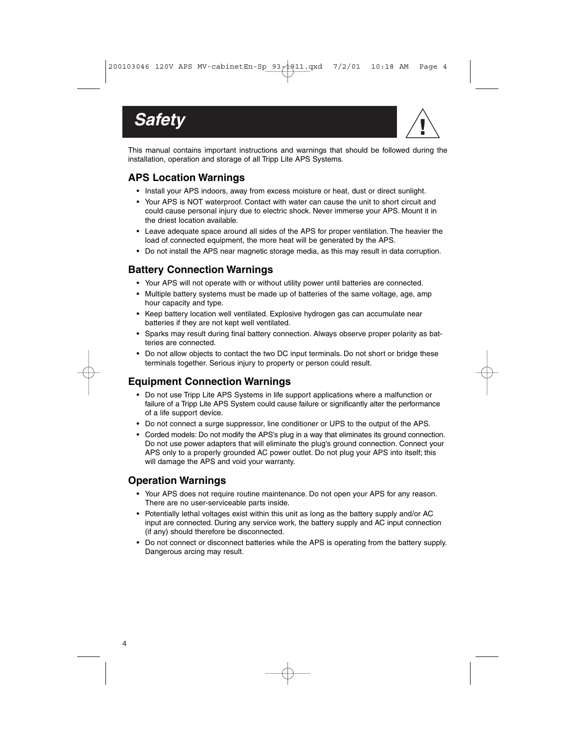



This manual contains important instructions and warnings that should be followed during the installation, operation and storage of all Tripp Lite APS Systems.

# **APS Location Warnings**

- Install your APS indoors, away from excess moisture or heat, dust or direct sunlight.
- Your APS is NOT waterproof. Contact with water can cause the unit to short circuit and could cause personal injury due to electric shock. Never immerse your APS. Mount it in the driest location available.
- Leave adequate space around all sides of the APS for proper ventilation. The heavier the load of connected equipment, the more heat will be generated by the APS.
- Do not install the APS near magnetic storage media, as this may result in data corruption.

# **Battery Connection Warnings**

- Your APS will not operate with or without utility power until batteries are connected.
- Multiple battery systems must be made up of batteries of the same voltage, age, amp hour capacity and type.
- Keep battery location well ventilated. Explosive hydrogen gas can accumulate near batteries if they are not kept well ventilated.
- Sparks may result during final battery connection. Always observe proper polarity as batteries are connected.
- Do not allow objects to contact the two DC input terminals. Do not short or bridge these terminals together. Serious injury to property or person could result.

# **Equipment Connection Warnings**

- Do not use Tripp Lite APS Systems in life support applications where a malfunction or failure of a Tripp Lite APS System could cause failure or significantly alter the performance of a life support device.
- Do not connect a surge suppressor, line conditioner or UPS to the output of the APS.
- Corded models: Do not modify the APS's plug in a way that eliminates its ground connection. Do not use power adapters that will eliminate the plug's ground connection. Connect your APS only to a properly grounded AC power outlet. Do not plug your APS into itself; this will damage the APS and void your warranty.

## **Operation Warnings**

- Your APS does not require routine maintenance. Do not open your APS for any reason. There are no user-serviceable parts inside.
- Potentially lethal voltages exist within this unit as long as the battery supply and/or AC input are connected. During any service work, the battery supply and AC input connection (if any) should therefore be disconnected.
- Do not connect or disconnect batteries while the APS is operating from the battery supply. Dangerous arcing may result.

4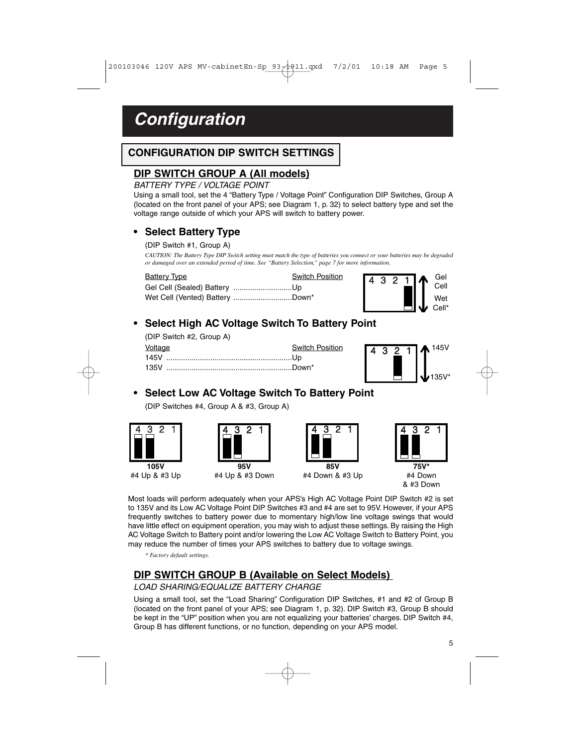# **Configuration**

# **CONFIGURATION DIP SWITCH SETTINGS**

# **DIP SWITCH GROUP A (All models)**

#### BATTERY TYPE / VOLTAGE POINT

Using a small tool, set the 4 "Battery Type / Voltage Point" Configuration DIP Switches, Group A (located on the front panel of your APS; see Diagram 1, p. 32) to select battery type and set the voltage range outside of which your APS will switch to battery power.

# **• Select Battery Type**

(DIP Switch #1, Group A)

*CAUTION: The Battery Type DIP Switch setting must match the type of batteries you connect or your batteries may be degraded or damaged over an extended period of time. See "Battery Selection," page 7 for more information.*

| <b>Battery Type</b> | Switch Position |  |  |                                                                                                                                     |
|---------------------|-----------------|--|--|-------------------------------------------------------------------------------------------------------------------------------------|
|                     |                 |  |  |                                                                                                                                     |
|                     |                 |  |  | $\begin{array}{c c c} 4 & 3 & 2 & 1 & \text{Ge} \\ & & & & \text{CeII} \\ & & & & \text{Weil} \\ & & & & & \text{CeII} \end{array}$ |
|                     |                 |  |  |                                                                                                                                     |

# **• Select High AC Voltage Switch To Battery Point**

(DIP Switch #2, Group A)

| Voltage | <b>Switch Position</b> |
|---------|------------------------|
|         |                        |
|         |                        |



**• Select Low AC Voltage Switch To Battery Point** (DIP Switches #4, Group A & #3, Group A)







**95V** #4 Up & #3 Down





& #3 Down

Most loads will perform adequately when your APS's High AC Voltage Point DIP Switch #2 is set to 135V and its Low AC Voltage Point DIP Switches #3 and #4 are set to 95V. However, if your APS frequently switches to battery power due to momentary high/low line voltage swings that would have little effect on equipment operation, you may wish to adjust these settings. By raising the High AC Voltage Switch to Battery point and/or lowering the Low AC Voltage Switch to Battery Point, you may reduce the number of times your APS switches to battery due to voltage swings.

*\* Factory default settings.*

# **DIP SWITCH GROUP B (Available on Select Models)**

### LOAD SHARING/EQUALIZE BATTERY CHARGE

Using a small tool, set the "Load Sharing" Configuration DIP Switches, #1 and #2 of Group B (located on the front panel of your APS; see Diagram 1, p. 32). DIP Switch #3, Group B should be kept in the "UP" position when you are not equalizing your batteries' charges. DIP Switch #4, Group B has different functions, or no function, depending on your APS model.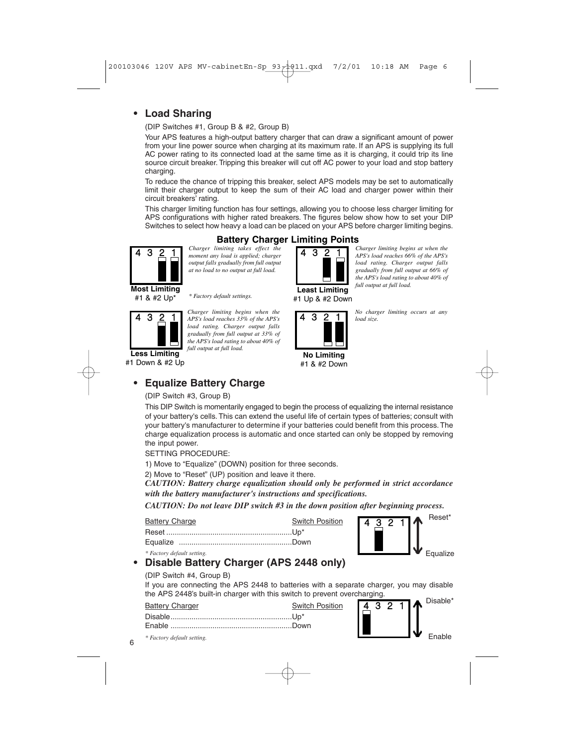# **• Load Sharing**

(DIP Switches #1, Group B & #2, Group B)

Your APS features a high-output battery charger that can draw a significant amount of power from your line power source when charging at its maximum rate. If an APS is supplying its full AC power rating to its connected load at the same time as it is charging, it could trip its line source circuit breaker. Tripping this breaker will cut off AC power to your load and stop battery charging.

To reduce the chance of tripping this breaker, select APS models may be set to automatically limit their charger output to keep the sum of their AC load and charger power within their circuit breakers' rating.

This charger limiting function has four settings, allowing you to choose less charger limiting for APS configurations with higher rated breakers. The figures below show how to set your DIP Switches to select how heavy a load can be placed on your APS before charger limiting begins.

> **Least Limiting** #1 Up & #2 Down

> > **No Limiting** #1 & #2 Down

# **Battery Charger Limiting Points**



*Charger limiting takes effect the* **4 3 2 1** *moment any load is applied; charger* **4 3 2 1** *output falls gradually from full output at no load to no output at full load.*

*Charger limiting begins at when the APS's load reaches 66% of the APS's load rating. Charger output falls gradually from full output at 66% of the APS's load rating to about 40% of full output at full load.*

*No charger limiting occurs at any*

*load size.* 

*\* Factory default settings.* #1 & #2 Up\*



*Charger limiting begins when the* **4 3 <u>2 1</u>** *APS's load reaches 33% of the APS's* 4 3 <u>2 1</u> *load rating. Charger output falls gradually from full output at 33% of the APS's load rating to about 40% of full output at full load.*

#1 Down & #2 Up

# **• Equalize Battery Charge**

#### (DIP Switch #3, Group B)

This DIP Switch is momentarily engaged to begin the process of equalizing the internal resistance of your battery's cells. This can extend the useful life of certain types of batteries; consult with your battery's manufacturer to determine if your batteries could benefit from this process. The charge equalization process is automatic and once started can only be stopped by removing the input power.

SETTING PROCEDURE:

1) Move to "Equalize" (DOWN) position for three seconds.

2) Move to "Reset" (UP) position and leave it there.

*CAUTION: Battery charge equalization should only be performed in strict accordance with the battery manufacturer's instructions and specifications.*

**Position** 

*CAUTION: Do not leave DIP switch #3 in the down position after beginning process.* 

| <b>Battery Charge</b> | Switch |
|-----------------------|--------|
|                       |        |
|                       |        |



*\* Factory default setting.*

6

# **• Disable Battery Charger (APS 2448 only)**

#### (DIP Switch #4, Group B)

If you are connecting the APS 2448 to batteries with a separate charger, you may disable the APS 2448's built-in charger with this switch to prevent overcharging.

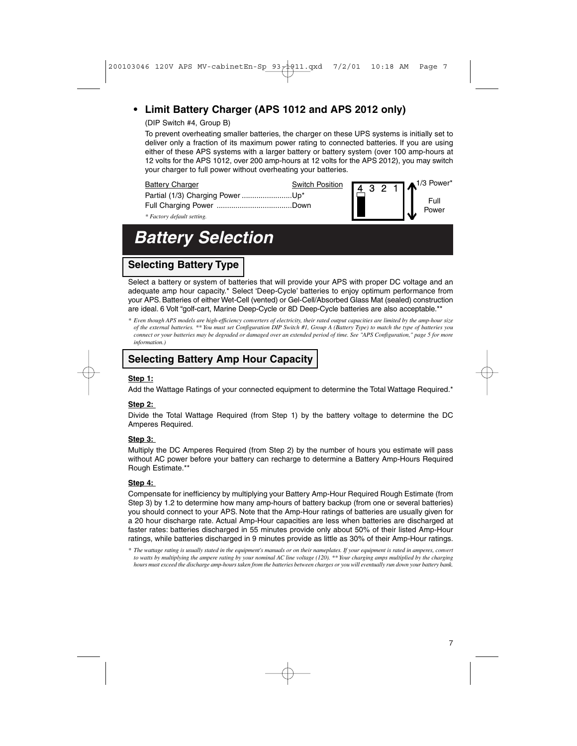# **• Limit Battery Charger (APS 1012 and APS 2012 only)**

### (DIP Switch #4, Group B)

To prevent overheating smaller batteries, the charger on these UPS systems is initially set to deliver only a fraction of its maximum power rating to connected batteries. If you are using either of these APS systems with a larger battery or battery system (over 100 amp-hours at 12 volts for the APS 1012, over 200 amp-hours at 12 volts for the APS 2012), you may switch your charger to full power without overheating your batteries.

| <b>Battery Charger</b>           | <b>Switch Position</b> |  |  | <b>4</b> 3 2 1 $\spadesuit$ <sup>1/3 Power*</sup> |
|----------------------------------|------------------------|--|--|---------------------------------------------------|
| Partial (1/3) Charging Power Up* |                        |  |  | Full                                              |
|                                  |                        |  |  | Power                                             |
| * Factory default setting.       |                        |  |  |                                                   |

# **Battery Selection**

# **Selecting Battery Type**

Select a battery or system of batteries that will provide your APS with proper DC voltage and an adequate amp hour capacity.\* Select 'Deep-Cycle' batteries to enjoy optimum performance from your APS. Batteries of either Wet-Cell (vented) or Gel-Cell/Absorbed Glass Mat (sealed) construction are ideal. 6 Volt "golf-cart, Marine Deep-Cycle or 8D Deep-Cycle batteries are also acceptable.\*\*

*\* Even though APS models are high-efficiency converters of electricity, their rated output capacities are limited by the amp-hour size of the external batteries. \*\* You must set Configuration DIP Switch #1, Group A (Battery Type) to match the type of batteries you connect or your batteries may be degraded or damaged over an extended period of time. See "APS Configuration," page 5 for more information.)*

### **Selecting Battery Amp Hour Capacity**

#### **Step 1:**

Add the Wattage Ratings of your connected equipment to determine the Total Wattage Required.\*

### **Step 2:**

Divide the Total Wattage Required (from Step 1) by the battery voltage to determine the DC Amperes Required.

#### **Step 3:**

Multiply the DC Amperes Required (from Step 2) by the number of hours you estimate will pass without AC power before your battery can recharge to determine a Battery Amp-Hours Required Rough Estimate.\*\*

#### **Step 4:**

Compensate for inefficiency by multiplying your Battery Amp-Hour Required Rough Estimate (from Step 3) by 1.2 to determine how many amp-hours of battery backup (from one or several batteries) you should connect to your APS. Note that the Amp-Hour ratings of batteries are usually given for a 20 hour discharge rate. Actual Amp-Hour capacities are less when batteries are discharged at faster rates: batteries discharged in 55 minutes provide only about 50% of their listed Amp-Hour ratings, while batteries discharged in 9 minutes provide as little as 30% of their Amp-Hour ratings.

*\* The wattage rating is usually stated in the equipment's manuals or on their nameplates. If your equipment is rated in amperes, convert to watts by multiplying the ampere rating by your nominal AC line voltage (120). \*\* Your charging amps multiplied by the charging hours must exceed the discharge amp-hours taken from the batteries between charges or you will eventually run down your battery bank.*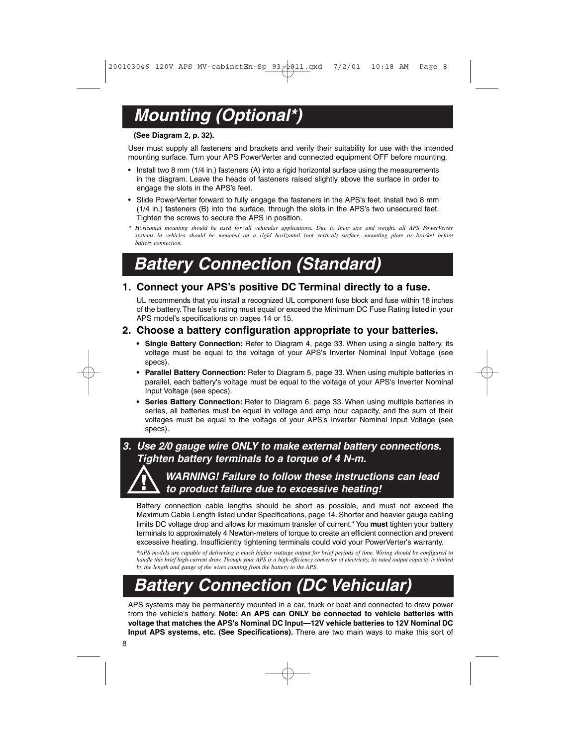# **Mounting (Optional\*)**

#### **(See Diagram 2, p. 32).**

User must supply all fasteners and brackets and verify their suitability for use with the intended mounting surface. Turn your APS PowerVerter and connected equipment OFF before mounting.

- Install two 8 mm (1/4 in.) fasteners (A) into a rigid horizontal surface using the measurements in the diagram. Leave the heads of fasteners raised slightly above the surface in order to engage the slots in the APS's feet.
- Slide PowerVerter forward to fully engage the fasteners in the APS's feet. Install two 8 mm (1/4 in.) fasteners (B) into the surface, through the slots in the APS's two unsecured feet. Tighten the screws to secure the APS in position.
- *\* Horizontal mounting should be used for all vehicular applications. Due to their size and weight, all APS PowerVerter systems in vehicles should be mounted on a rigid horizontal (not vertical) surface, mounting plate or bracket before battery connection.*

# **Battery Connection (Standard)**

### **1. Connect your APS's positive DC Terminal directly to a fuse.**

UL recommends that you install a recognized UL component fuse block and fuse within 18 inches of the battery.The fuse's rating must equal or exceed the Minimum DC Fuse Rating listed in your APS model's specifications on pages 14 or 15.

### **2. Choose a battery configuration appropriate to your batteries.**

- **Single Battery Connection:** Refer to Diagram 4, page 33. When using a single battery, its voltage must be equal to the voltage of your APS's Inverter Nominal Input Voltage (see specs).
- **Parallel Battery Connection:** Refer to Diagram 5, page 33. When using multiple batteries in parallel, each battery's voltage must be equal to the voltage of your APS's Inverter Nominal Input Voltage (see specs).
- **Series Battery Connection:** Refer to Diagram 6, page 33. When using multiple batteries in series, all batteries must be equal in voltage and amp hour capacity, and the sum of their voltages must be equal to the voltage of your APS's Inverter Nominal Input Voltage (see specs).

# **3. Use 2/0 gauge wire ONLY to make external battery connections. Tighten battery terminals to a torque of 4 N-m.**

# **WARNING! Failure to follow these instructions can lead to product failure due to excessive heating!**

Battery connection cable lengths should be short as possible, and must not exceed the Maximum Cable Length listed under Specifications, page 14. Shorter and heavier gauge cabling limits DC voltage drop and allows for maximum transfer of current.\* You **must** tighten your battery terminals to approximately 4 Newton-meters of torque to create an efficient connection and prevent excessive heating. Insufficiently tightening terminals could void your PowerVerter's warranty.

*\*APS models are capable of delivering a much higher wattage output for brief periods of time. Wiring should be configured to handle this brief high-current draw. Though your APS is a high-efficiency converter of electricity, its rated output capacity is limited by the length and gauge of the wires running from the battery to the APS*.

# **Battery Connection (DC Vehicular)**

APS systems may be permanently mounted in a car, truck or boat and connected to draw power from the vehicle's battery. **Note: An APS can ONLY be connected to vehicle batteries with voltage that matches the APS's Nominal DC Input—12V vehicle batteries to 12V Nominal DC Input APS systems, etc. (See Specifications).** There are two main ways to make this sort of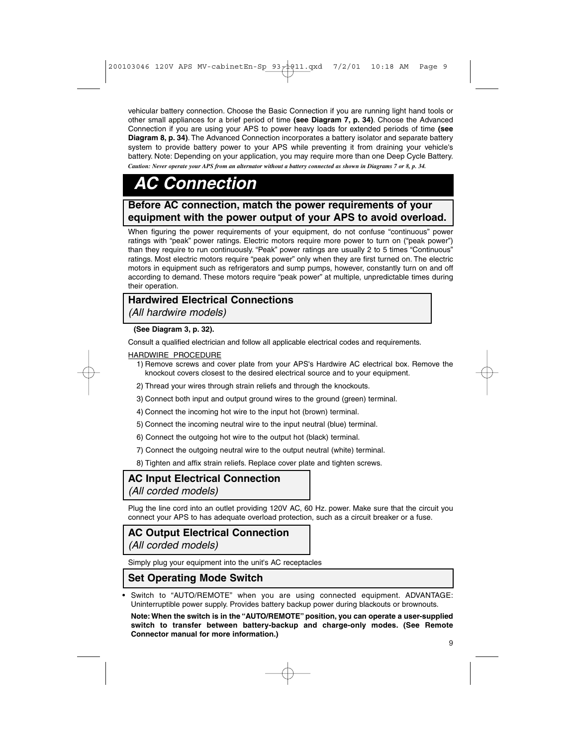vehicular battery connection. Choose the Basic Connection if you are running light hand tools or other small appliances for a brief period of time **(see Diagram 7, p. 34)**. Choose the Advanced Connection if you are using your APS to power heavy loads for extended periods of time **(see Diagram 8, p. 34)**. The Advanced Connection incorporates a battery isolator and separate battery system to provide battery power to your APS while preventing it from draining your vehicle's battery. Note: Depending on your application, you may require more than one Deep Cycle Battery. *Caution: Never operate your APS from an alternator without a battery connected as shown in Diagrams 7 or 8, p. 34.*

# **AC Connection**

# **Before AC connection, match the power requirements of your equipment with the power output of your APS to avoid overload.**

When figuring the power requirements of your equipment, do not confuse "continuous" power ratings with "peak" power ratings. Electric motors require more power to turn on ("peak power") than they require to run continuously. "Peak" power ratings are usually 2 to 5 times "Continuous" ratings. Most electric motors require "peak power" only when they are first turned on. The electric motors in equipment such as refrigerators and sump pumps, however, constantly turn on and off according to demand. These motors require "peak power" at multiple, unpredictable times during their operation.

# **Hardwired Electrical Connections**

(All hardwire models)

#### **(See Diagram 3, p. 32).**

Consult a qualified electrician and follow all applicable electrical codes and requirements.

#### HARDWIRE PROCEDURE

- 1) Remove screws and cover plate from your APS's Hardwire AC electrical box. Remove the knockout covers closest to the desired electrical source and to your equipment.
- 2) Thread your wires through strain reliefs and through the knockouts.
- 3) Connect both input and output ground wires to the ground (green) terminal.
- 4) Connect the incoming hot wire to the input hot (brown) terminal.
- 5) Connect the incoming neutral wire to the input neutral (blue) terminal.
- 6) Connect the outgoing hot wire to the output hot (black) terminal.
- 7) Connect the outgoing neutral wire to the output neutral (white) terminal.
- 8) Tighten and affix strain reliefs. Replace cover plate and tighten screws.

# **AC Input Electrical Connection** (All corded models)

Plug the line cord into an outlet providing 120V AC, 60 Hz. power. Make sure that the circuit you connect your APS to has adequate overload protection, such as a circuit breaker or a fuse.

# **AC Output Electrical Connection**

(All corded models)

Simply plug your equipment into the unit's AC receptacles

# **Set Operating Mode Switch**

**•** Switch to "AUTO/REMOTE" when you are using connected equipment. ADVANTAGE: Uninterruptible power supply. Provides battery backup power during blackouts or brownouts.

**Note: When the switch is in the "AUTO/REMOTE" position, you can operate a user-supplied switch to transfer between battery-backup and charge-only modes. (See Remote Connector manual for more information.)**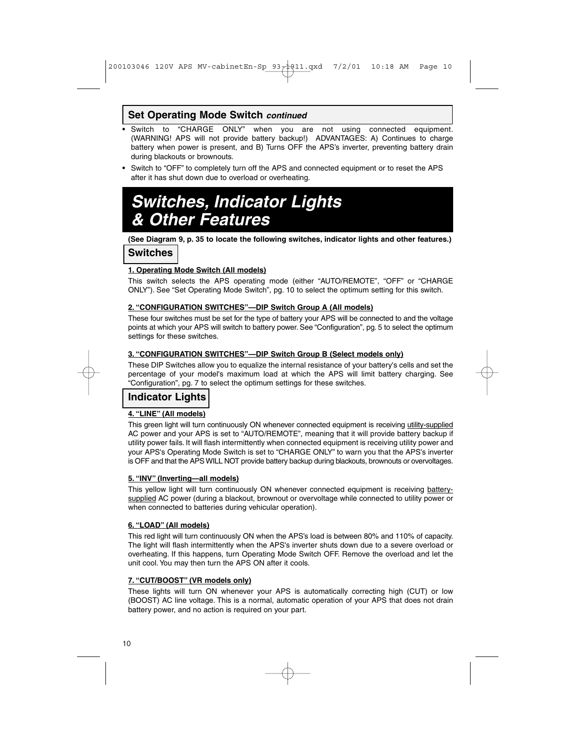## **Set Operating Mode Switch continued**

- **•** Switch to "CHARGE ONLY" when you are not using connected equipment. (WARNING! APS will not provide battery backup!) ADVANTAGES: A) Continues to charge battery when power is present, and B) Turns OFF the APS's inverter, preventing battery drain during blackouts or brownouts.
- **•** Switch to "OFF" to completely turn off the APS and connected equipment or to reset the APS after it has shut down due to overload or overheating.

# **Switches, Indicator Lights & Other Features**

**(See Diagram 9, p. 35 to locate the following switches, indicator lights and other features.)**

**Switches**

#### **1. Operating Mode Switch (All models)**

This switch selects the APS operating mode (either "AUTO/REMOTE", "OFF" or "CHARGE ONLY"). See "Set Operating Mode Switch", pg. 10 to select the optimum setting for this switch.

#### **2. "CONFIGURATION SWITCHES"—DIP Switch Group A (All models)**

These four switches must be set for the type of battery your APS will be connected to and the voltage points at which your APS will switch to battery power. See "Configuration", pg. 5 to select the optimum settings for these switches.

#### **3. "CONFIGURATION SWITCHES"—DIP Switch Group B (Select models only)**

These DIP Switches allow you to equalize the internal resistance of your battery's cells and set the percentage of your model's maximum load at which the APS will limit battery charging. See "Configuration", pg. 7 to select the optimum settings for these switches.

# **Indicator Lights**

#### **4. "LINE" (All models)**

This green light will turn continuously ON whenever connected equipment is receiving utility-supplied AC power and your APS is set to "AUTO/REMOTE", meaning that it will provide battery backup if utility power fails. It will flash intermittently when connected equipment is receiving utility power and your APS's Operating Mode Switch is set to "CHARGE ONLY" to warn you that the APS's inverter is OFF and that the APS WILL NOT provide battery backup during blackouts, brownouts or overvoltages.

#### **5. "INV" (Inverting—all models)**

This yellow light will turn continuously ON whenever connected equipment is receiving batterysupplied AC power (during a blackout, brownout or overvoltage while connected to utility power or when connected to batteries during vehicular operation).

### **6. "LOAD" (All models)**

This red light will turn continuously ON when the APS's load is between 80% and 110% of capacity. The light will flash intermittently when the APS's inverter shuts down due to a severe overload or overheating. If this happens, turn Operating Mode Switch OFF. Remove the overload and let the unit cool. You may then turn the APS ON after it cools.

#### **7. "CUT/BOOST" (VR models only)**

These lights will turn ON whenever your APS is automatically correcting high (CUT) or low (BOOST) AC line voltage. This is a normal, automatic operation of your APS that does not drain battery power, and no action is required on your part.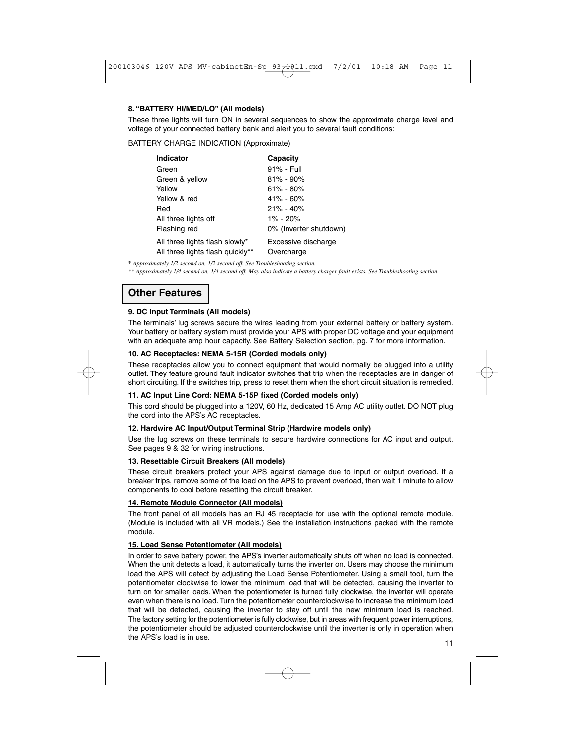### **8. "BATTERY HI/MED/LO" (All models)**

These three lights will turn ON in several sequences to show the approximate charge level and voltage of your connected battery bank and alert you to several fault conditions:

#### BATTERY CHARGE INDICATION (Approximate)

| <b>Indicator</b>                 | Capacity               |
|----------------------------------|------------------------|
| Green                            | 91% - Full             |
| Green & yellow                   | $81\% - 90\%$          |
| Yellow                           | $61\% - 80\%$          |
| Yellow & red                     | $41\% - 60\%$          |
| Red                              | $21\% - 40\%$          |
| All three lights off             | $1\% - 20\%$           |
| Flashing red                     | 0% (Inverter shutdown) |
| All three lights flash slowly*   | Excessive discharge    |
| All three lights flash quickly** | Overcharge             |

*\* Approximately 1/2 second on, 1/2 second off. See Troubleshooting section.*

*\*\* Approximately 1/4 second on, 1/4 second off. May also indicate a battery charger fault exists. See Troubleshooting section.*

# **Other Features**

#### **9. DC Input Terminals (All models)**

The terminals' lug screws secure the wires leading from your external battery or battery system. Your battery or battery system must provide your APS with proper DC voltage and your equipment with an adequate amp hour capacity. See Battery Selection section, pg. 7 for more information.

### **10. AC Receptacles: NEMA 5-15R (Corded models only)**

These receptacles allow you to connect equipment that would normally be plugged into a utility outlet. They feature ground fault indicator switches that trip when the receptacles are in danger of short circuiting. If the switches trip, press to reset them when the short circuit situation is remedied.

#### **11. AC Input Line Cord: NEMA 5-15P fixed (Corded models only)**

This cord should be plugged into a 120V, 60 Hz, dedicated 15 Amp AC utility outlet. DO NOT plug the cord into the APS's AC receptacles.

#### **12. Hardwire AC Input/Output Terminal Strip (Hardwire models only)**

Use the lug screws on these terminals to secure hardwire connections for AC input and output. See pages 9 & 32 for wiring instructions.

#### **13. Resettable Circuit Breakers (All models)**

These circuit breakers protect your APS against damage due to input or output overload. If a breaker trips, remove some of the load on the APS to prevent overload, then wait 1 minute to allow components to cool before resetting the circuit breaker.

#### **14. Remote Module Connector (All models)**

The front panel of all models has an RJ 45 receptacle for use with the optional remote module. (Module is included with all VR models.) See the installation instructions packed with the remote module.

### **15. Load Sense Potentiometer (All models)**

In order to save battery power, the APS's inverter automatically shuts off when no load is connected. When the unit detects a load, it automatically turns the inverter on. Users may choose the minimum load the APS will detect by adjusting the Load Sense Potentiometer. Using a small tool, turn the potentiometer clockwise to lower the minimum load that will be detected, causing the inverter to turn on for smaller loads. When the potentiometer is turned fully clockwise, the inverter will operate even when there is no load.Turn the potentiometer counterclockwise to increase the minimum load that will be detected, causing the inverter to stay off until the new minimum load is reached. The factory setting for the potentiometer is fully clockwise, but in areas with frequent power interruptions, the potentiometer should be adjusted counterclockwise until the inverter is only in operation when the APS's load is in use.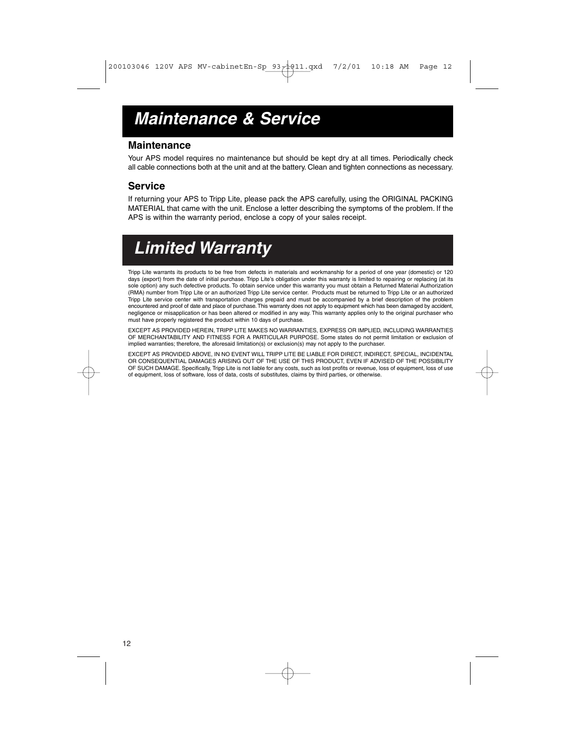# **Maintenance & Service**

### **Maintenance**

Your APS model requires no maintenance but should be kept dry at all times. Periodically check all cable connections both at the unit and at the battery. Clean and tighten connections as necessary.

## **Service**

If returning your APS to Tripp Lite, please pack the APS carefully, using the ORIGINAL PACKING MATERIAL that came with the unit. Enclose a letter describing the symptoms of the problem. If the APS is within the warranty period, enclose a copy of your sales receipt.

# **Limited Warranty**

Tripp Lite warrants its products to be free from defects in materials and workmanship for a period of one year (domestic) or 120 days (export) from the date of initial purchase. Tripp Lite's obligation under this warranty is limited to repairing or replacing (at its sole option) any such defective products. To obtain service under this warranty you must obtain a Returned Material Authorization (RMA) number from Tripp Lite or an authorized Tripp Lite service center. Products must be returned to Tripp Lite or an authorized Tripp Lite service center with transportation charges prepaid and must be accompanied by a brief description of the problem<br>encountered and proof of date and place of purchase. This warranty does not apply to equipment whi negligence or misapplication or has been altered or modified in any way. This warranty applies only to the original purchaser who must have properly registered the product within 10 days of purchase.

EXCEPT AS PROVIDED HEREIN, TRIPP LITE MAKES NO WARRANTIES, EXPRESS OR IMPLIED, INCLUDING WARRANTIES OF MERCHANTABILITY AND FITNESS FOR A PARTICULAR PURPOSE. Some states do not permit limitation or exclusion of implied warranties; therefore, the aforesaid limitation(s) or exclusion(s) may not apply to the purchaser.

EXCEPT AS PROVIDED ABOVE, IN NO EVENT WILL TRIPP LITE BE LIABLE FOR DIRECT, INDIRECT, SPECIAL, INCIDENTAL OR CONSEQUENTIAL DAMAGES ARISING OUT OF THE USE OF THIS PRODUCT, EVEN IF ADVISED OF THE POSSIBILITY OF SUCH DAMAGE. Specifically, Tripp Lite is not liable for any costs, such as lost profits or revenue, loss of equipment, loss of use of equipment, loss of software, loss of data, costs of substitutes, claims by third parties, or otherwise.

12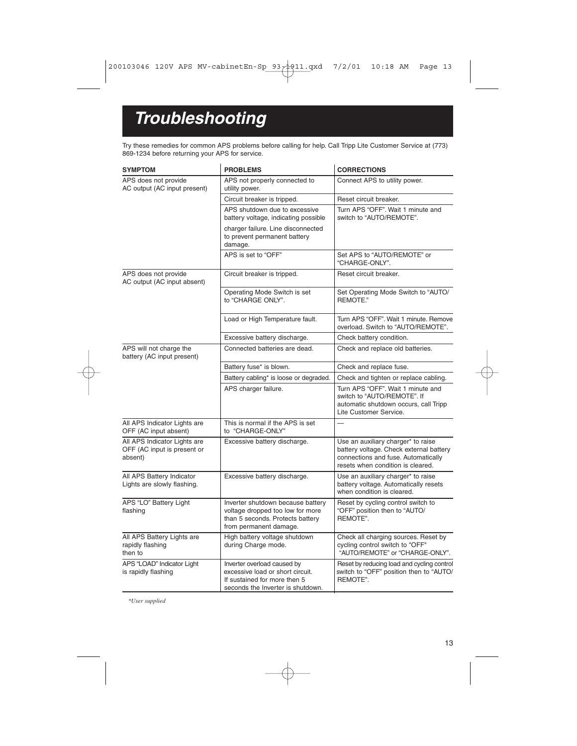# **Troubleshooting**

Try these remedies for common APS problems before calling for help. Call Tripp Lite Customer Service at (773) 869-1234 before returning your APS for service.

| <b>SYMPTOM</b>                                                         | <b>PROBLEMS</b>                                                                                                                      | <b>CORRECTIONS</b>                                                                                                                                        |
|------------------------------------------------------------------------|--------------------------------------------------------------------------------------------------------------------------------------|-----------------------------------------------------------------------------------------------------------------------------------------------------------|
| APS does not provide<br>AC output (AC input present)                   | APS not properly connected to<br>utility power.                                                                                      | Connect APS to utility power.                                                                                                                             |
|                                                                        | Circuit breaker is tripped.                                                                                                          | Reset circuit breaker.                                                                                                                                    |
|                                                                        | APS shutdown due to excessive<br>battery voltage, indicating possible                                                                | Turn APS "OFF". Wait 1 minute and<br>switch to "AUTO/REMOTE".                                                                                             |
|                                                                        | charger failure. Line disconnected<br>to prevent permanent battery<br>damage.                                                        |                                                                                                                                                           |
|                                                                        | APS is set to "OFF"                                                                                                                  | Set APS to "AUTO/REMOTE" or<br>"CHARGE-ONLY".                                                                                                             |
| APS does not provide<br>AC output (AC input absent)                    | Circuit breaker is tripped.                                                                                                          | Reset circuit breaker.                                                                                                                                    |
|                                                                        | Operating Mode Switch is set<br>to "CHARGE ONLY".                                                                                    | Set Operating Mode Switch to "AUTO/<br>REMOTE."                                                                                                           |
|                                                                        | Load or High Temperature fault.                                                                                                      | Turn APS "OFF". Wait 1 minute. Remove<br>overload. Switch to "AUTO/REMOTE".                                                                               |
|                                                                        | Excessive battery discharge.                                                                                                         | Check battery condition.                                                                                                                                  |
| APS will not charge the<br>battery (AC input present)                  | Connected batteries are dead.                                                                                                        | Check and replace old batteries.                                                                                                                          |
|                                                                        | Battery fuse* is blown.                                                                                                              | Check and replace fuse.                                                                                                                                   |
|                                                                        | Battery cabling* is loose or degraded.                                                                                               | Check and tighten or replace cabling.                                                                                                                     |
|                                                                        | APS charger failure.                                                                                                                 | Turn APS "OFF". Wait 1 minute and<br>switch to "AUTO/REMOTE". If<br>automatic shutdown occurs, call Tripp<br>Lite Customer Service.                       |
| All APS Indicator Lights are<br>OFF (AC input absent)                  | This is normal if the APS is set<br>to "CHARGE-ONLY"                                                                                 |                                                                                                                                                           |
| All APS Indicator Lights are<br>OFF (AC input is present or<br>absent) | Excessive battery discharge.                                                                                                         | Use an auxiliary charger* to raise<br>battery voltage. Check external battery<br>connections and fuse. Automatically<br>resets when condition is cleared. |
| All APS Battery Indicator<br>Lights are slowly flashing.               | Excessive battery discharge.                                                                                                         | Use an auxiliary charger* to raise<br>battery voltage. Automatically resets<br>when condition is cleared.                                                 |
| APS "LO" Battery Light<br>flashing                                     | Inverter shutdown because battery<br>voltage dropped too low for more<br>than 5 seconds. Protects battery<br>from permanent damage.  | Reset by cycling control switch to<br>"OFF" position then to "AUTO/<br>REMOTE".                                                                           |
| All APS Battery Lights are<br>rapidly flashing<br>then to              | High battery voltage shutdown<br>during Charge mode.                                                                                 | Check all charging sources. Reset by<br>cycling control switch to "OFF"<br>"AUTO/REMOTE" or "CHARGE-ONLY".                                                |
| APS "LOAD" Indicator Light<br>is rapidly flashing                      | Inverter overload caused by<br>excessive load or short circuit.<br>If sustained for more then 5<br>seconds the Inverter is shutdown. | Reset by reducing load and cycling control<br>switch to "OFF" position then to "AUTO/<br>REMOTE".                                                         |

*\*User supplied*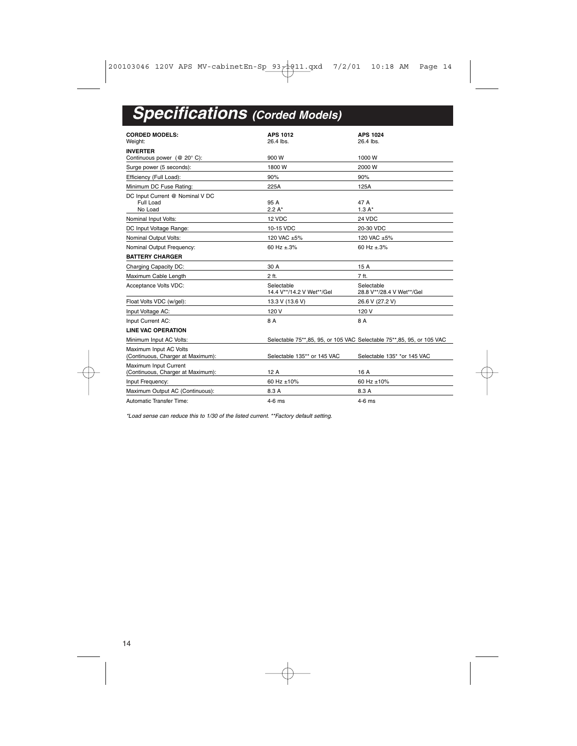# **Specifications (Corded Models)**

| <b>CORDED MODELS:</b>                                       | <b>APS 1012</b>                         | <b>APS 1024</b>                                                         |
|-------------------------------------------------------------|-----------------------------------------|-------------------------------------------------------------------------|
| Weight:                                                     | $26.4$ lbs.                             | 26.4 lbs.                                                               |
| <b>INVERTER</b>                                             |                                         |                                                                         |
| Continuous power (@ 20°C):                                  | 900W                                    | 1000W                                                                   |
| Surge power (5 seconds):                                    | 1800W                                   | 2000 W                                                                  |
| Efficiency (Full Load):                                     | 90%                                     | 90%                                                                     |
| Minimum DC Fuse Rating:                                     | 225A                                    | 125A                                                                    |
| DC Input Current @ Nominal V DC<br>Full Load<br>No Load     | 95 A<br>$2.2 A^*$                       | 47 A<br>$1.3A*$                                                         |
| Nominal Input Volts:                                        | 12 VDC                                  | 24 VDC                                                                  |
| DC Input Voltage Range:                                     | 10-15 VDC                               | 20-30 VDC                                                               |
| Nominal Output Volts:                                       | 120 VAC +5%                             | 120 VAC ±5%                                                             |
| Nominal Output Frequency:                                   | 60 Hz $+3\%$                            | 60 Hz $\pm$ 3%                                                          |
| <b>BATTERY CHARGER</b>                                      |                                         |                                                                         |
| Charging Capacity DC:                                       | 30 A                                    | 15 A                                                                    |
| Maximum Cable Length                                        | 2 ft.                                   | 7 ft.                                                                   |
| Acceptance Volts VDC:                                       | Selectable<br>14.4 V**/14.2 V Wet**/Gel | Selectable<br>28.8 V**/28.4 V Wet**/Gel                                 |
| Float Volts VDC (w/gel):                                    | 13.3 V (13.6 V)                         | 26.6 V (27.2 V)                                                         |
| Input Voltage AC:                                           | 120 V                                   | 120 V                                                                   |
| Input Current AC:                                           | 8 A                                     | 8 A                                                                     |
| <b>LINE VAC OPERATION</b>                                   |                                         |                                                                         |
| Minimum Input AC Volts:                                     |                                         | Selectable 75**, 85, 95, or 105 VAC Selectable 75**, 85, 95, or 105 VAC |
| Maximum Input AC Volts<br>(Continuous, Charger at Maximum): | Selectable 135** or 145 VAC             | Selectable 135* *or 145 VAC                                             |
| Maximum Input Current<br>(Continuous, Charger at Maximum):  | 12A                                     | 16 A                                                                    |
| Input Frequency:                                            | 60 Hz ±10%                              | 60 Hz ±10%                                                              |
| Maximum Output AC (Continuous):                             | 8.3 A                                   | 8.3 A                                                                   |
| Automatic Transfer Time:                                    | $4-6$ ms                                | $4-6$ ms                                                                |

\*Load sense can reduce this to 1/30 of the listed current. \*\*Factory default setting.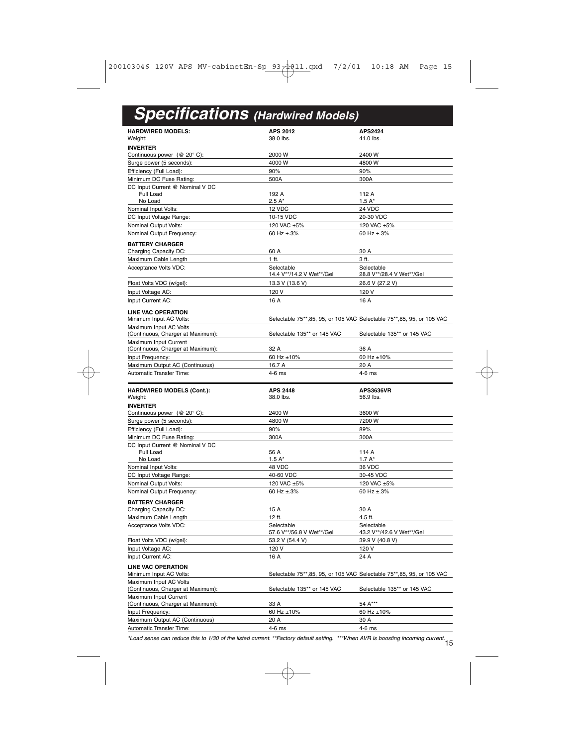# **Specifications (Hardwired Models)**

| <b>HARDWIRED MODELS:</b>                                   | <b>APS 2012</b>              | <b>APS2424</b>                                                          |
|------------------------------------------------------------|------------------------------|-------------------------------------------------------------------------|
| Weight:                                                    | 38.0 lbs.                    | 41.0 lbs.                                                               |
| <b>INVERTER</b>                                            |                              |                                                                         |
| Continuous power $(@ 20° C)$ :                             | 2000 W                       | 2400 W                                                                  |
| Surge power (5 seconds):                                   | 4000 W                       | 4800 W                                                                  |
| Efficiency (Full Load):                                    | 90%                          | 90%                                                                     |
| Minimum DC Fuse Rating:                                    | 500A                         | 300A                                                                    |
| DC Input Current @ Nominal V DC                            |                              |                                                                         |
| Full Load                                                  | 192 A                        | 112 A                                                                   |
| No Load                                                    | $2.5A*$                      | $1.5A*$                                                                 |
| Nominal Input Volts:                                       | 12 VDC                       | 24 VDC                                                                  |
| DC Input Voltage Range:                                    | 10-15 VDC                    | 20-30 VDC                                                               |
| Nominal Output Volts:                                      | 120 VAC ±5%                  | 120 VAC ±5%                                                             |
| Nominal Output Frequency:                                  | 60 Hz $\pm$ .3%              | 60 Hz $\pm$ .3%                                                         |
| <b>BATTERY CHARGER</b>                                     |                              |                                                                         |
| Charging Capacity DC:                                      | 60 A                         | 30 A                                                                    |
| Maximum Cable Length                                       | 1 ft.                        | 3 ft.                                                                   |
| Acceptance Volts VDC:                                      | Selectable                   | Selectable                                                              |
|                                                            | 14.4 V**/14.2 V Wet**/Gel    | 28.8 V**/28.4 V Wet**/Gel                                               |
| Float Volts VDC (w/gel):                                   | 13.3 V (13.6 V)              | 26.6 V (27.2 V)                                                         |
| Input Voltage AC:                                          | 120 V                        | 120 V                                                                   |
| Input Current AC:                                          | 16 A                         | 16 A                                                                    |
| <b>LINE VAC OPERATION</b>                                  |                              |                                                                         |
| Minimum Input AC Volts:                                    |                              | Selectable 75**, 85, 95, or 105 VAC Selectable 75**, 85, 95, or 105 VAC |
| Maximum Input AC Volts                                     |                              |                                                                         |
| (Continuous, Charger at Maximum):                          | Selectable 135** or 145 VAC  | Selectable 135** or 145 VAC                                             |
| Maximum Input Current                                      |                              |                                                                         |
| (Continuous, Charger at Maximum):                          | 32 A                         | 36 A                                                                    |
| Input Frequency:                                           | 60 Hz $\pm 10\%$             | 60 Hz ±10%                                                              |
| Maximum Output AC (Continuous)                             | 16.7 A                       | 20 A                                                                    |
| Automatic Transfer Time:                                   | 4-6 ms                       | 4-6 ms                                                                  |
|                                                            |                              |                                                                         |
|                                                            |                              |                                                                         |
|                                                            |                              | <b>APS3636VR</b>                                                        |
| <b>HARDWIRED MODELS (Cont.):</b><br>Weight:                | <b>APS 2448</b><br>38.0 lbs. | 56.9 lbs.                                                               |
| <b>INVERTER</b>                                            |                              |                                                                         |
| Continuous power (@ 20°C):                                 | 2400 W                       | 3600 W                                                                  |
| Surge power (5 seconds):                                   | 4800 W                       | 7200 W                                                                  |
|                                                            | 90%                          | 89%                                                                     |
| Efficiency (Full Load):<br>Minimum DC Fuse Rating:         | 300A                         | 300A                                                                    |
| DC Input Current @ Nominal V DC                            |                              |                                                                         |
| Full Load                                                  | 56 A                         | 114 A                                                                   |
| No Load                                                    | $1.5A*$                      | $1.7A*$                                                                 |
| Nominal Input Volts:                                       | 48 VDC                       | 36 VDC                                                                  |
| DC Input Voltage Range:                                    | 40-60 VDC                    | 30-45 VDC                                                               |
| Nominal Output Volts:                                      | 120 VAC ±5%                  | 120 VAC ±5%                                                             |
| Nominal Output Frequency:                                  | 60 Hz $+3%$                  | 60 Hz ±.3%                                                              |
|                                                            |                              |                                                                         |
| <b>BATTERY CHARGER</b>                                     | 15 A                         | 30 A                                                                    |
| Charging Capacity DC:                                      | 12 ft.                       |                                                                         |
| Maximum Cable Length                                       | Selectable                   | 4.5 ft.<br>Selectable                                                   |
| Acceptance Volts VDC:                                      | 57.6 V**/56.8 V Wet**/Gel    | 43.2 V**/42.6 V Wet**/Gel                                               |
| Float Volts VDC (w/gel):                                   | 53.2 V (54.4 V)              | 39.9 V (40.8 V)                                                         |
| Input Voltage AC:                                          | 120 V                        | 120 V                                                                   |
| Input Current AC:                                          | 16 A                         | 24 A                                                                    |
|                                                            |                              |                                                                         |
| <b>LINE VAC OPERATION</b>                                  |                              |                                                                         |
| Minimum Input AC Volts:                                    |                              | Selectable 75**, 85, 95, or 105 VAC Selectable 75**, 85, 95, or 105 VAC |
| Maximum Input AC Volts                                     |                              |                                                                         |
| (Continuous, Charger at Maximum):                          | Selectable 135** or 145 VAC  | Selectable 135** or 145 VAC                                             |
| Maximum Input Current<br>(Continuous, Charger at Maximum): | 33 A                         | 54 A***                                                                 |
| Input Frequency:                                           | 60 Hz ±10%                   | 60 Hz ±10%                                                              |
| Maximum Output AC (Continuous)                             | 20 A                         | 30 A                                                                    |

15 \*Load sense can reduce this to 1/30 of the listed current. \*\*Factory default setting. \*\*\*When AVR is boosting incoming current.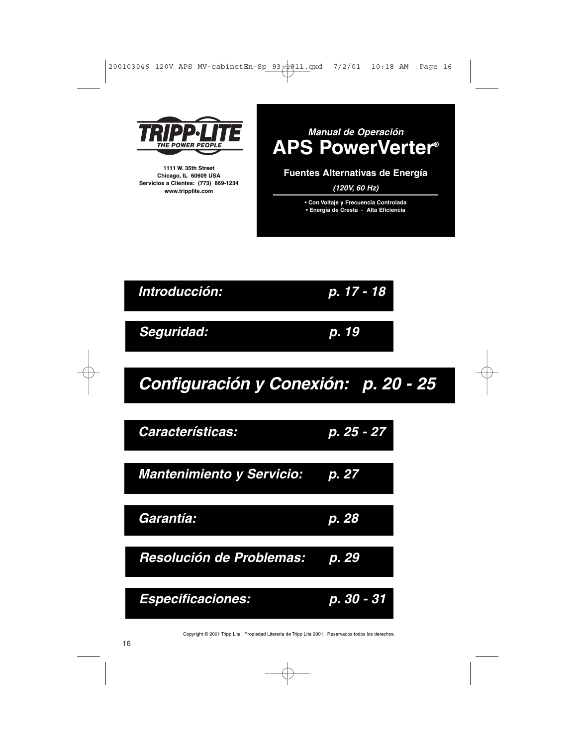|  |  | 200103046 120V APS MV-cabinetEn-Sp 93 - 11. gxd 7/2/01 10:18 AM Page 16 |  |  |
|--|--|-------------------------------------------------------------------------|--|--|
|  |  |                                                                         |  |  |
|  |  |                                                                         |  |  |



**1111 W. 35th Street Chicago, IL 60609 USA Servicios a Clientes: (773) 869-1234 www.tripplite.com**





# **Configuración y Conexión: p. 20 - 25**



Copyright © 2001 Tripp Lite. Propiedad Literaria de Tripp Lite 2001. Reservados todos los derechos.

### 16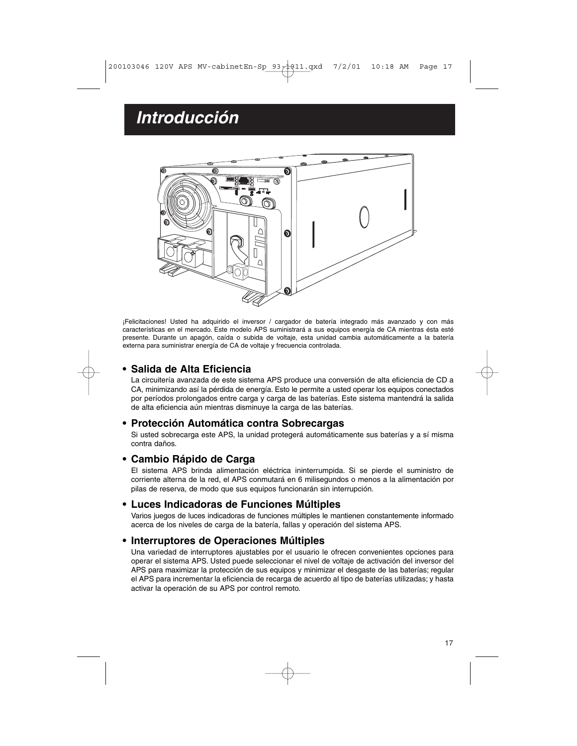# **Introducción**



¡Felicitaciones! Usted ha adquirido el inversor / cargador de batería integrado más avanzado y con más características en el mercado. Este modelo APS suministrará a sus equipos energía de CA mientras ésta esté presente. Durante un apagón, caída o subida de voltaje, esta unidad cambia automáticamente a la batería externa para suministrar energía de CA de voltaje y frecuencia controlada.

# **• Salida de Alta Eficiencia**

La circuitería avanzada de este sistema APS produce una conversión de alta eficiencia de CD a CA, minimizando así la pérdida de energía. Esto le permite a usted operar los equipos conectados por períodos prolongados entre carga y carga de las baterías. Este sistema mantendrá la salida de alta eficiencia aún mientras disminuye la carga de las baterías.

### **• Protección Automática contra Sobrecargas**

Si usted sobrecarga este APS, la unidad protegerá automáticamente sus baterías y a sí misma contra daños.

### **• Cambio Rápido de Carga**

El sistema APS brinda alimentación eléctrica ininterrumpida. Si se pierde el suministro de corriente alterna de la red, el APS conmutará en 6 milisegundos o menos a la alimentación por pilas de reserva, de modo que sus equipos funcionarán sin interrupción.

### **• Luces Indicadoras de Funciones Múltiples**

Varios juegos de luces indicadoras de funciones múltiples le mantienen constantemente informado acerca de los niveles de carga de la batería, fallas y operación del sistema APS.

#### **• Interruptores de Operaciones Múltiples**

Una variedad de interruptores ajustables por el usuario le ofrecen convenientes opciones para operar el sistema APS. Usted puede seleccionar el nivel de voltaje de activación del inversor del APS para maximizar la protección de sus equipos y minimizar el desgaste de las baterías; regular el APS para incrementar la eficiencia de recarga de acuerdo al tipo de baterías utilizadas; y hasta activar la operación de su APS por control remoto.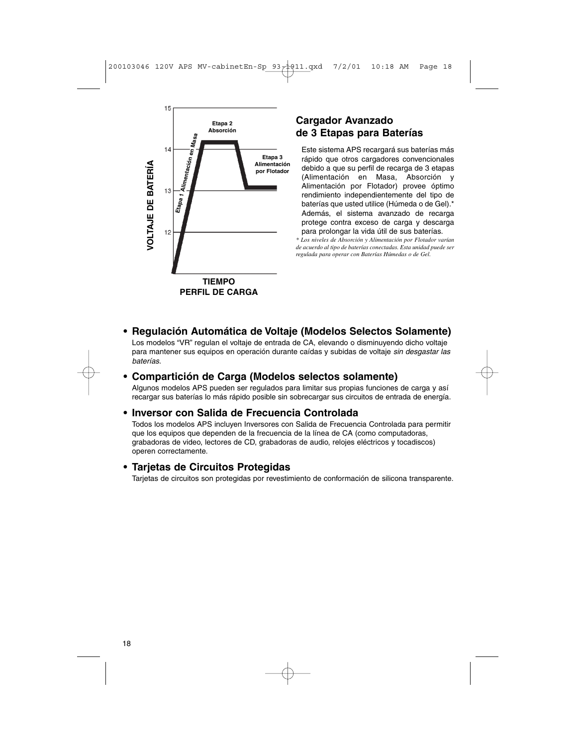

# **Cargador Avanzado de 3 Etapas para Baterías**

Este sistema APS recargará sus baterías más rápido que otros cargadores convencionales debido a que su perfil de recarga de 3 etapas (Alimentación en Masa, Absorción y Alimentación por Flotador) provee óptimo rendimiento independientemente del tipo de baterías que usted utilice (Húmeda o de Gel).\* Además, el sistema avanzado de recarga protege contra exceso de carga y descarga para prolongar la vida útil de sus baterías.

*\* Los niveles de Absorción y Alimentación por Flotador varían de acuerdo al tipo de baterías conectadas. Esta unidad puede ser regulada para operar con Baterías Húmedas o de Gel.*

**• Regulación Automática de Voltaje (Modelos Selectos Solamente)** Los modelos "VR" regulan el voltaje de entrada de CA, elevando o disminuyendo dicho voltaje para mantener sus equipos en operación durante caídas y subidas de voltaje sin desgastar las baterías.

### **• Compartición de Carga (Modelos selectos solamente)**

Algunos modelos APS pueden ser regulados para limitar sus propias funciones de carga y así recargar sus baterías lo más rápido posible sin sobrecargar sus circuitos de entrada de energía.

### **• Inversor con Salida de Frecuencia Controlada**

Todos los modelos APS incluyen Inversores con Salida de Frecuencia Controlada para permitir que los equipos que dependen de la frecuencia de la línea de CA (como computadoras, grabadoras de video, lectores de CD, grabadoras de audio, relojes eléctricos y tocadiscos) operen correctamente.

### **• Tarjetas de Circuitos Protegidas**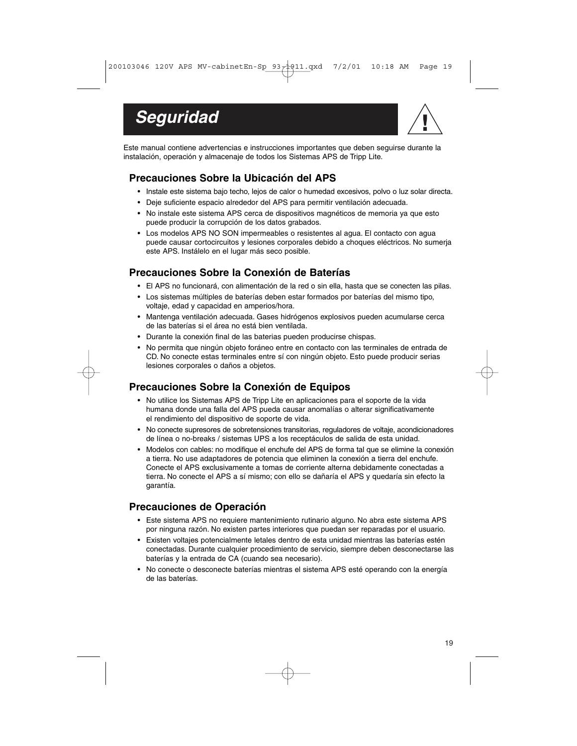



Este manual contiene advertencias e instrucciones importantes que deben seguirse durante la instalación, operación y almacenaje de todos los Sistemas APS de Tripp Lite.

# **Precauciones Sobre la Ubicación del APS**

- Instale este sistema bajo techo, lejos de calor o humedad excesivos, polvo o luz solar directa.
- Deje suficiente espacio alrededor del APS para permitir ventilación adecuada.
- No instale este sistema APS cerca de dispositivos magnéticos de memoria ya que esto puede producir la corrupción de los datos grabados.
- Los modelos APS NO SON impermeables o resistentes al agua. El contacto con agua puede causar cortocircuitos y lesiones corporales debido a choques eléctricos. No sumerja este APS. Instálelo en el lugar más seco posible.

# **Precauciones Sobre la Conexión de Baterías**

- El APS no funcionará, con alimentación de la red o sin ella, hasta que se conecten las pilas.
- Los sistemas múltiples de baterías deben estar formados por baterías del mismo tipo, voltaje, edad y capacidad en amperios/hora.
- Mantenga ventilación adecuada. Gases hidrógenos explosivos pueden acumularse cerca de las baterías si el área no está bien ventilada.
- Durante la conexión final de las baterias pueden producirse chispas.
- No permita que ningún objeto foráneo entre en contacto con las terminales de entrada de CD. No conecte estas terminales entre sí con ningún objeto. Esto puede producir serias lesiones corporales o daños a objetos.

# **Precauciones Sobre la Conexión de Equipos**

- No utilice los Sistemas APS de Tripp Lite en aplicaciones para el soporte de la vida humana donde una falla del APS pueda causar anomalías o alterar significativamente el rendimiento del dispositivo de soporte de vida.
- No conecte supresores de sobretensiones transitorias, reguladores de voltaje, acondicionadores de línea o no-breaks / sistemas UPS a los receptáculos de salida de esta unidad.
- Modelos con cables: no modifique el enchufe del APS de forma tal que se elimine la conexión a tierra. No use adaptadores de potencia que eliminen la conexión a tierra del enchufe. Conecte el APS exclusivamente a tomas de corriente alterna debidamente conectadas a tierra. No conecte el APS a sí mismo; con ello se dañaría el APS y quedaría sin efecto la garantía.

# **Precauciones de Operación**

- Este sistema APS no requiere mantenimiento rutinario alguno. No abra este sistema APS por ninguna razón. No existen partes interiores que puedan ser reparadas por el usuario.
- Existen voltajes potencialmente letales dentro de esta unidad mientras las baterías estén conectadas. Durante cualquier procedimiento de servicio, siempre deben desconectarse las baterías y la entrada de CA (cuando sea necesario).
- No conecte o desconecte baterías mientras el sistema APS esté operando con la energía de las baterías.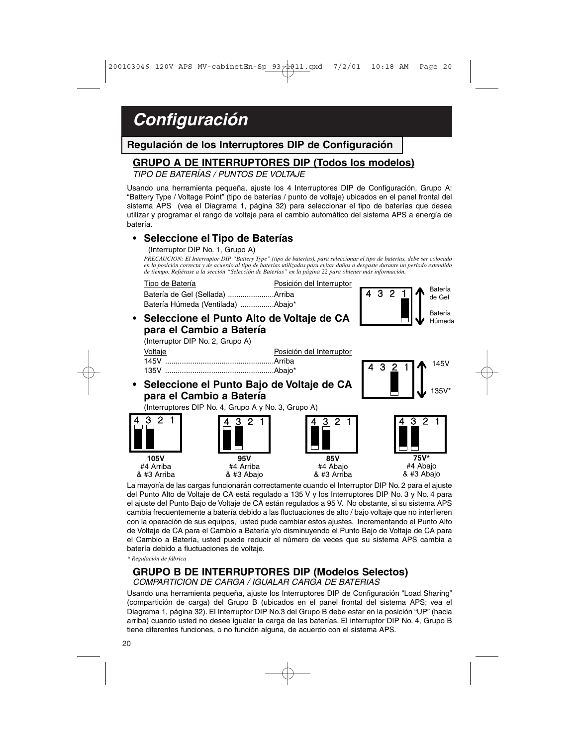# **Configuración**

**Regulación de los Interruptores DIP de Configuración**

## **GRUPO A DE INTERRUPTORES DIP (Todos los modelos)**

TIPO DE BATERÍAS / PUNTOS DE VOLTAJE

Usando una herramienta pequeña, ajuste los 4 Interruptores DIP de Configuración, Grupo A: "Battery Type / Voltage Point" (tipo de baterías / punto de voltaje) ubicados en el panel frontal del sistema APS (vea el Diagrama 1, página 32) para seleccionar el tipo de baterías que desea utilizar y programar el rango de voltaje para el cambio automático del sistema APS a energía de batería.

#### • **Seleccione el Tipo de Baterías**

(Interruptor DIP No. 1, Grupo A)

*PRECAUCION: El Interruptor DIP "Battery Type" (tipo de baterías), para seleccionar el tipo de baterías, debe ser colocado en la posición correcta y de acuerdo al tipo de baterías utilizadas para evitar daños o desgaste durante un período extendido de tiempo. Refiérase a la sección "Selección de Baterías" en la página 22 para obtener más información.*



• **Seleccione el Punto Alto de Voltaje de CA para el Cambio a Batería**



3

145V

135V\*

(Interruptor DIP No. 2, Grupo A)

| Voltaje | Posición del Interruptor |
|---------|--------------------------|
|         |                          |
|         |                          |

**• Seleccione el Punto Bajo de Voltaje de CA para el Cambio a Batería**

(Interruptores DIP No. 4, Grupo A y No. 3, Grupo A)



La mayoría de las cargas funcionarán correctamente cuando el Interruptor DIP No. 2 para el ajuste del Punto Alto de Voltaje de CA está regulado a 135 V y los Interruptores DIP No. 3 y No. 4 para el ajuste del Punto Bajo de Voltaje de CA están regulados a 95 V. No obstante, si su sistema APS cambia frecuentemente a batería debido a las fluctuaciones de alto / bajo voltaje que no interfieren con la operación de sus equipos, usted pude cambiar estos ajustes. Incrementando el Punto Alto de Voltaje de CA para el Cambio a Batería y/o disminuyendo el Punto Bajo de Voltaje de CA para el Cambio a Batería, usted puede reducir el número de veces que su sistema APS cambia a batería debido a fluctuaciones de voltaje.

*\* Regulación de fábrica*

### **GRUPO B DE INTERRUPTORES DIP (Modelos Selectos)** COMPARTICION DE CARGA / IGUALAR CARGA DE BATERIAS

Usando una herramienta pequeña, ajuste los Interruptores DIP de Configuración "Load Sharing" (compartición de carga) del Grupo B (ubicados en el panel frontal del sistema APS; vea el Diagrama 1, página 32). El Interruptor DIP No.3 del Grupo B debe estar en la posición "UP" (hacia arriba) cuando usted no desee igualar la carga de las baterías. El interruptor DIP No. 4, Grupo B tiene diferentes funciones, o no función alguna, de acuerdo con el sistema APS.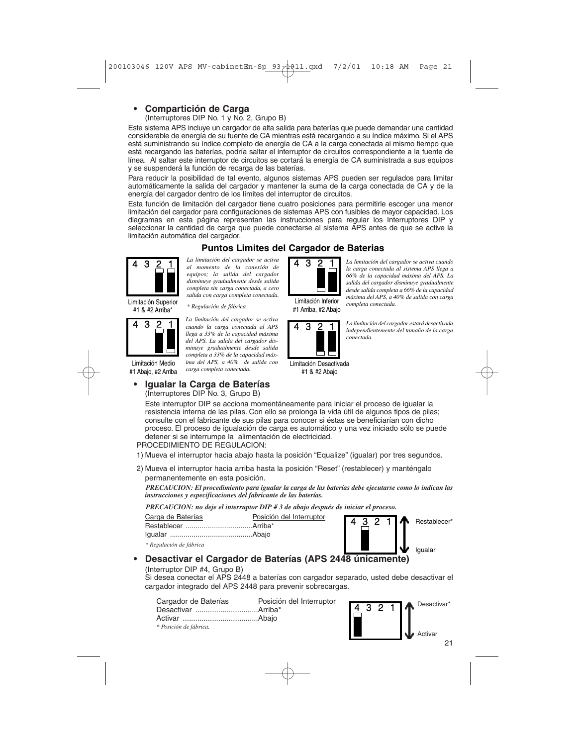# **• Compartición de Carga**

(Interruptores DIP No. 1 y No. 2, Grupo B)

Este sistema APS incluye un cargador de alta salida para baterías que puede demandar una cantidad considerable de energía de su fuente de CA mientras está recargando a su índice máximo. Si el APS está suministrando su índice completo de energía de CA a la carga conectada al mismo tiempo que está recargando las baterías, podría saltar el interruptor de circuitos correspondiente a la fuente de línea. Al saltar este interruptor de circuitos se cortará la energía de CA suministrada a sus equipos y se suspenderá la función de recarga de las baterías.

Para reducir la posibilidad de tal evento, algunos sistemas APS pueden ser regulados para limitar automáticamente la salida del cargador y mantener la suma de la carga conectada de CA y de la energía del cargador dentro de los límites del interruptor de circuitos.

Esta función de limitación del cargador tiene cuatro posiciones para permitirle escoger una menor limitación del cargador para configuraciones de sistemas APS con fusibles de mayor capacidad. Los diagramas en esta página representan las instrucciones para regular los Interruptores DIP seleccionar la cantidad de carga que puede conectarse al sistema APS antes de que se active la limitación automática del cargador.

# **Puntos Limites del Cargador de Baterias**



*La limitación del cargador se activa* **4 3 <u>2</u> 1** *al momento de la conexión de* **4 3 <u>2</u> 1** *equipos; la salida del cargador disminuye gradualmente desde salida completa sin carga conectada, a cero salida con carga completa conectada.* 



*La limitación del cargador se activa* **4 3 2 1** *cuando la carga conectada al APS* **4 3 2 1** *llega a 33% de la capacidad máxima del APS. La salida del cargador disminuye gradualmente desde salida completa a 33% de la capacidad máxima del APS, a 40% de salida con carga completa conectada.*

Limitación Medio #1 Abajo, #2 Arriba

# **• Igualar la Carga de Baterías**

(Interruptores DIP No. 3, Grupo B)

Limitación Inferior #1 Arriba, #2 Abajo



*La limitación del cargador estará desactivada independientemente del tamaño de la carga conectada.* 

*completa conectada.*

*La limitación del cargador se activa cuando la carga conectada al sistema APS llega a 66% de la capacidad máxima del APS. La salida del cargador disminuye gradualmente desde salida completa a 66% de la capacidad máxima del APS, a 40% de salida con carga*

Limitación Desactivada

#1 & #2 Abajo

Este interruptor DIP se acciona momentáneamente para iniciar el proceso de igualar la resistencia interna de las pilas. Con ello se prolonga la vida útil de algunos tipos de pilas; consulte con el fabricante de sus pilas para conocer si éstas se beneficiarían con dicho proceso. El proceso de igualación de carga es automático y una vez iniciado sólo se puede detener si se interrumpe la alimentación de electricidad.

PROCEDIMIENTO DE REGULACION:

- 1) Mueva el interruptor hacia abajo hasta la posición "Equalize" (igualar) por tres segundos.
- 2) Mueva el interruptor hacia arriba hasta la posición "Reset" (restablecer) y manténgalo permanentemente en esta posición.

*PRECAUCION: El procedimiento para igualar la carga de las baterías debe ejecutarse como lo indican las instrucciones y especificaciones del fabricante de las baterías.*

*PRECAUCION: no deje el interruptor DIP # 3 de abajo después de iniciar el proceso.*



(Interruptor DIP #4, Grupo B)

Si desea conectar el APS 2448 a baterías con cargador separado, usted debe desactivar el cargador integrado del APS 2448 para prevenir sobrecargas.

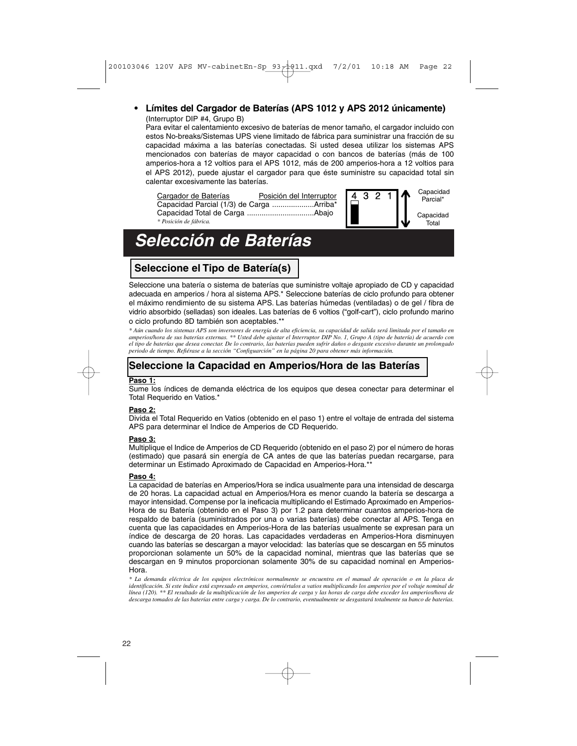### **• Límites del Cargador de Baterías (APS 1012 y APS 2012 únicamente)** (Interruptor DIP #4, Grupo B)

Para evitar el calentamiento excesivo de baterías de menor tamaño, el cargador incluido con estos No-breaks/Sistemas UPS viene limitado de fábrica para suministrar una fracción de su capacidad máxima a las baterías conectadas. Si usted desea utilizar los sistemas APS mencionados con baterías de mayor capacidad o con bancos de baterías (más de 100 amperios-hora a 12 voltios para el APS 1012, más de 200 amperios-hora a 12 voltios para el APS 2012), puede ajustar el cargador para que éste suministre su capacidad total sin calentar excesivamente las baterías.



# **Selección de Baterías**

# **Seleccione el Tipo de Batería(s)**

Seleccione una batería o sistema de baterías que suministre voltaje apropiado de CD y capacidad adecuada en amperios / hora al sistema APS.\* Seleccione baterías de ciclo profundo para obtener el máximo rendimiento de su sistema APS. Las baterías húmedas (ventiladas) o de gel / fibra de vidrio absorbido (selladas) son ideales. Las baterías de 6 voltios ("golf-cart"), ciclo profundo marino o ciclo profundo 8D también son aceptables.\*\*

\* Aún cuando los sistemas APS son inversores de energía de alta eficiencia, su capacidad de salida será limitada por el tamaño en<br>amperios/hora de sus baterías externas. \*\* Usted debe ajustar el Interruptor DIP No. 1, Grup el tipo de baterías que desea conectar. De lo contrario, las baterías pueden sufrir daños o desgaste excesivo durante un prolongado<br>periodo de tiempo. Refiérase a la sección "Configuarción" en la página 20 para obtener más



# **Seleccione la Capacidad en Amperios/Hora de las Baterías**

#### **Paso 1:**

Sume los índices de demanda eléctrica de los equipos que desea conectar para determinar el Total Requerido en Vatios.\*

#### **Paso 2:**

Divida el Total Requerido en Vatios (obtenido en el paso 1) entre el voltaje de entrada del sistema APS para determinar el Indice de Amperios de CD Requerido.

#### **Paso 3:**

Multiplique el Indice de Amperios de CD Requerido (obtenido en el paso 2) por el número de horas (estimado) que pasará sin energía de CA antes de que las baterías puedan recargarse, para determinar un Estimado Aproximado de Capacidad en Amperios-Hora.\*\*

#### **Paso 4:**

La capacidad de baterías en Amperios/Hora se indica usualmente para una intensidad de descarga de 20 horas. La capacidad actual en Amperios/Hora es menor cuando la batería se descarga a mayor intensidad. Compense por la ineficacia multiplicando el Estimado Aproximado en Amperios-Hora de su Batería (obtenido en el Paso 3) por 1.2 para determinar cuantos amperios-hora de respaldo de batería (suministrados por una o varias baterías) debe conectar al APS. Tenga en cuenta que las capacidades en Amperios-Hora de las baterías usualmente se expresan para un índice de descarga de 20 horas. Las capacidades verdaderas en Amperios-Hora disminuyen cuando las baterías se descargan a mayor velocidad: las baterías que se descargan en 55 minutos proporcionan solamente un 50% de la capacidad nominal, mientras que las baterías que se descargan en 9 minutos proporcionan solamente 30% de su capacidad nominal en Amperios-Hora.

*\* La demanda eléctrica de los equipos electrónicos normalmente se encuentra en el manual de operación o en la placa de identificación. Si este índice está expresado en amperios, conviértalos a vatios multiplicando los amperios por el voltaje nominal de línea (120). \*\* El resultado de la multiplicación de los amperios de carga y las horas de carga debe exceder los amperios/hora de descarga tomados de las baterías entre carga y carga. De lo contrario, eventualmente se desgastará totalmente su banco de baterías.*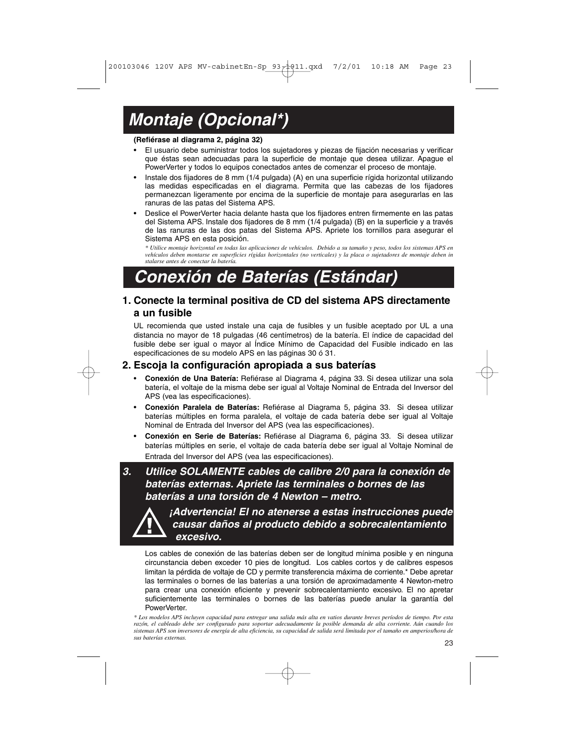# **Montaje (Opcional\*)**

#### **(Refiérase al diagrama 2, página 32)**

- El usuario debe suministrar todos los sujetadores y piezas de fijación necesarias y verificar que éstas sean adecuadas para la superficie de montaje que desea utilizar. Apague el PowerVerter y todos lo equipos conectados antes de comenzar el proceso de montaje.
- Instale dos fijadores de 8 mm (1/4 pulgada) (A) en una superficie rígida horizontal utilizando las medidas especificadas en el diagrama. Permita que las cabezas de los fijadores permanezcan ligeramente por encima de la superficie de montaje para asegurarlas en las ranuras de las patas del Sistema APS.
- Deslice el PowerVerter hacia delante hasta que los fijadores entren firmemente en las patas del Sistema APS. Instale dos fijadores de 8 mm (1/4 pulgada) (B) en la superficie y a través de las ranuras de las dos patas del Sistema APS. Apriete los tornillos para asegurar el Sistema APS en esta posición.

*\* Utilice montaje horizontal en todas las aplicaciones de vehículos. Debido a su tamaño y peso, todos los sistemas APS en vehículos deben montarse en superficies rígidas horizontales (no verticales) y la placa o sujetadores de montaje deben in stalarse antes de conectar la batería.*

# **Conexión de Baterías (Estándar)**

# **1. Conecte la terminal positiva de CD del sistema APS directamente a un fusible**

UL recomienda que usted instale una caja de fusibles y un fusible aceptado por UL a una distancia no mayor de 18 pulgadas (46 centímetros) de la batería. El índice de capacidad del fusible debe ser igual o mayor al Índice Mínimo de Capacidad del Fusible indicado en las especificaciones de su modelo APS en las páginas 30 ó 31.

### **2. Escoja la configuración apropiada a sus baterías**

- **Conexión de Una Batería:** Refiérase al Diagrama 4, página 33. Si desea utilizar una sola batería, el voltaje de la misma debe ser igual al Voltaje Nominal de Entrada del Inversor del APS (vea las especificaciones).
- **Conexión Paralela de Baterías:** Refiérase al Diagrama 5, página 33. Si desea utilizar baterías múltiples en forma paralela, el voltaje de cada batería debe ser igual al Voltaje Nominal de Entrada del Inversor del APS (vea las especificaciones).
- **Conexión en Serie de Baterías:** Refiérase al Diagrama 6, página 33. Si desea utilizar baterías múltiples en serie, el voltaje de cada batería debe ser igual al Voltaje Nominal de Entrada del Inversor del APS (vea las especificaciones).
- **3. Utilice SOLAMENTE cables de calibre 2/0 para la conexión de baterías externas. Apriete las terminales o bornes de las baterías a una torsión de 4 Newton – metro.**



**¡Advertencia! El no atenerse a estas instrucciones puede causar daños al producto debido a sobrecalentamiento excesivo.**

Los cables de conexión de las baterías deben ser de longitud mínima posible y en ninguna circunstancia deben exceder 10 pies de longitud. Los cables cortos y de calibres espesos limitan la pérdida de voltaje de CD y permite transferencia máxima de corriente.\* Debe apretar las terminales o bornes de las baterías a una torsión de aproximadamente 4 Newton-metro para crear una conexión eficiente y prevenir sobrecalentamiento excesivo. El no apretar suficientemente las terminales o bornes de las baterías puede anular la garantía del PowerVerter.

*\* Los modelos APS incluyen capacidad para entregar una salida más alta en vatios durante breves períodos de tiempo. Por esta razón, el cableado debe ser configurado para soportar adecuadamente la posible demanda de alta corriente. Aún cuando los sistemas APS son inversores de energía de alta eficiencia, su capacidad de salida será limitada por el tamaño en amperios/hora de sus baterías externas.*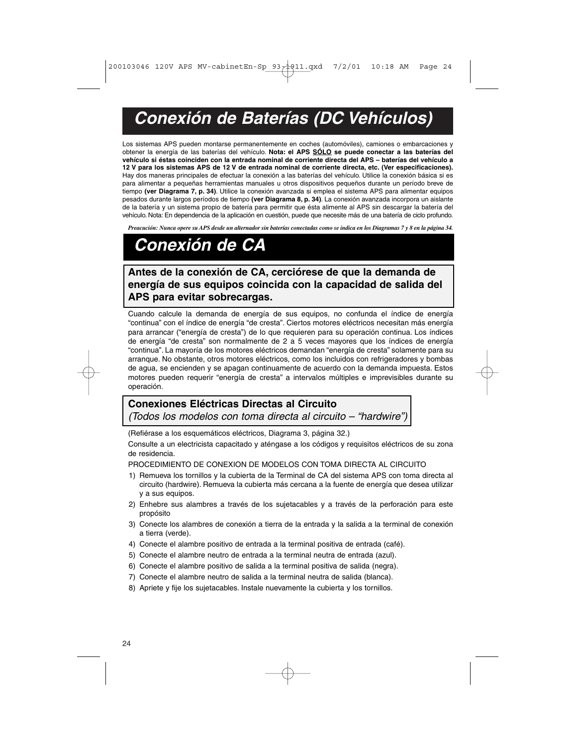# **Conexión de Baterías (DC Vehículos)**

Los sistemas APS pueden montarse permanentemente en coches (automóviles), camiones o embarcaciones y obtener la energía de las baterías del vehículo. **Nota: el APS SÓLO se puede conectar a las baterías del vehículo si éstas coinciden con la entrada nominal de corriente directa del APS – baterías del vehículo a 12 V para los sistemas APS de 12 V de entrada nominal de corriente directa, etc. (Ver especificaciones).** Hay dos maneras principales de efectuar la conexión a las baterías del vehículo. Utilice la conexión básica si es para alimentar a pequeñas herramientas manuales u otros dispositivos pequeños durante un período breve de tiempo **(ver Diagrama 7, p. 34)**. Utilice la conexión avanzada si emplea el sistema APS para alimentar equipos pesados durante largos períodos de tiempo **(ver Diagrama 8, p. 34)**. La conexión avanzada incorpora un aislante de la batería y un sistema propio de batería para permitir que ésta alimente al APS sin descargar la batería del vehículo. Nota: En dependencia de la aplicación en cuestión, puede que necesite más de una batería de ciclo profundo.

*Preacución: Nunca opere su APS desde un alternador sin baterías conectadas como se indica en los Diagramas 7 y 8 en la página 34.*

# **Conexión de CA**

**Antes de la conexión de CA, cerciórese de que la demanda de energía de sus equipos coincida con la capacidad de salida del APS para evitar sobrecargas.**

Cuando calcule la demanda de energía de sus equipos, no confunda el índice de energía "continua" con el índice de energía "de cresta". Ciertos motores eléctricos necesitan más energía para arrancar ("energía de cresta") de lo que requieren para su operación continua. Los índices de energía "de cresta" son normalmente de 2 a 5 veces mayores que los índices de energía "continua". La mayoría de los motores eléctricos demandan "energía de cresta" solamente para su arranque. No obstante, otros motores eléctricos, como los incluidos con refrigeradores y bombas de agua, se encienden y se apagan continuamente de acuerdo con la demanda impuesta. Estos motores pueden requerir "energía de cresta" a intervalos múltiples e imprevisibles durante su operación.

# **Conexiones Eléctricas Directas al Circuito**

(Todos los modelos con toma directa al circuito – "hardwire")

(Refiérase a los esquemáticos eléctricos, Diagrama 3, página 32.)

Consulte a un electricista capacitado y aténgase a los códigos y requisitos eléctricos de su zona de residencia.

PROCEDIMIENTO DE CONEXION DE MODELOS CON TOMA DIRECTA AL CIRCUITO

- 1) Remueva los tornillos y la cubierta de la Terminal de CA del sistema APS con toma directa al circuito (hardwire). Remueva la cubierta más cercana a la fuente de energía que desea utilizar y a sus equipos.
- 2) Enhebre sus alambres a través de los sujetacables y a través de la perforación para este propósito
- 3) Conecte los alambres de conexión a tierra de la entrada y la salida a la terminal de conexión a tierra (verde).
- 4) Conecte el alambre positivo de entrada a la terminal positiva de entrada (café).
- 5) Conecte el alambre neutro de entrada a la terminal neutra de entrada (azul).
- 6) Conecte el alambre positivo de salida a la terminal positiva de salida (negra).
- 7) Conecte el alambre neutro de salida a la terminal neutra de salida (blanca).
- 8) Apriete y fije los sujetacables. Instale nuevamente la cubierta y los tornillos.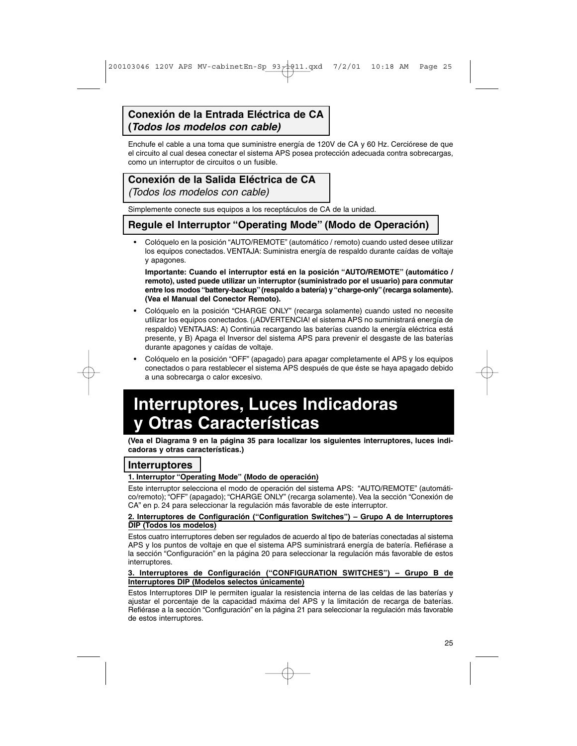# **Conexión de la Entrada Eléctrica de CA (Todos los modelos con cable)**

Enchufe el cable a una toma que suministre energía de 120V de CA y 60 Hz. Cerciórese de que el circuito al cual desea conectar el sistema APS posea protección adecuada contra sobrecargas, como un interruptor de circuitos o un fusible.

# **Conexión de la Salida Eléctrica de CA**

(Todos los modelos con cable)

Simplemente conecte sus equipos a los receptáculos de CA de la unidad.

# **Regule el Interruptor "Operating Mode" (Modo de Operación)**

• Colóquelo en la posición "AUTO/REMOTE" (automático / remoto) cuando usted desee utilizar los equipos conectados. VENTAJA: Suministra energía de respaldo durante caídas de voltaje y apagones.

**Importante: Cuando el interruptor está en la posición "AUTO/REMOTE" (automático / remoto), usted puede utilizar un interruptor (suministrado por el usuario) para conmutar entre los modos "battery-backup"(respaldo a batería) y "charge-only"(recarga solamente). (Vea el Manual del Conector Remoto).**

- Colóquelo en la posición "CHARGE ONLY" (recarga solamente) cuando usted no necesite utilizar los equipos conectados. (¡ADVERTENCIA! el sistema APS no suministrará energía de respaldo) VENTAJAS: A) Continúa recargando las baterías cuando la energía eléctrica está presente, y B) Apaga el Inversor del sistema APS para prevenir el desgaste de las baterías durante apagones y caídas de voltaje.
- Colóquelo en la posición "OFF" (apagado) para apagar completamente el APS y los equipos conectados o para restablecer el sistema APS después de que éste se haya apagado debido a una sobrecarga o calor excesivo.

# **Interruptores, Luces Indicadoras y Otras Características**

**(Vea el Diagrama 9 en la página 35 para localizar los siguientes interruptores, luces indicadoras y otras características.)**

# **Interruptores**

## **1. Interruptor "Operating Mode" (Modo de operación)**

Este interruptor selecciona el modo de operación del sistema APS: "AUTO/REMOTE" (automático/remoto); "OFF" (apagado); "CHARGE ONLY" (recarga solamente). Vea la sección "Conexión de CA" en p. 24 para seleccionar la regulación más favorable de este interruptor.

#### **2. Interruptores de Configuración ("Configuration Switches") – Grupo A de Interruptores DIP (Todos los modelos)**

Estos cuatro interruptores deben ser regulados de acuerdo al tipo de baterías conectadas al sistema APS y los puntos de voltaje en que el sistema APS suministrará energía de batería. Refiérase a la sección "Configuración" en la página 20 para seleccionar la regulación más favorable de estos interruptores.

#### **3. Interruptores de Configuración ("CONFIGURATION SWITCHES") – Grupo B de Interruptores DIP (Modelos selectos únicamente)**

Estos Interruptores DIP le permiten igualar la resistencia interna de las celdas de las baterías y ajustar el porcentaje de la capacidad máxima del APS y la limitación de recarga de baterías. Refiérase a la sección "Configuración" en la página 21 para seleccionar la regulación más favorable de estos interruptores.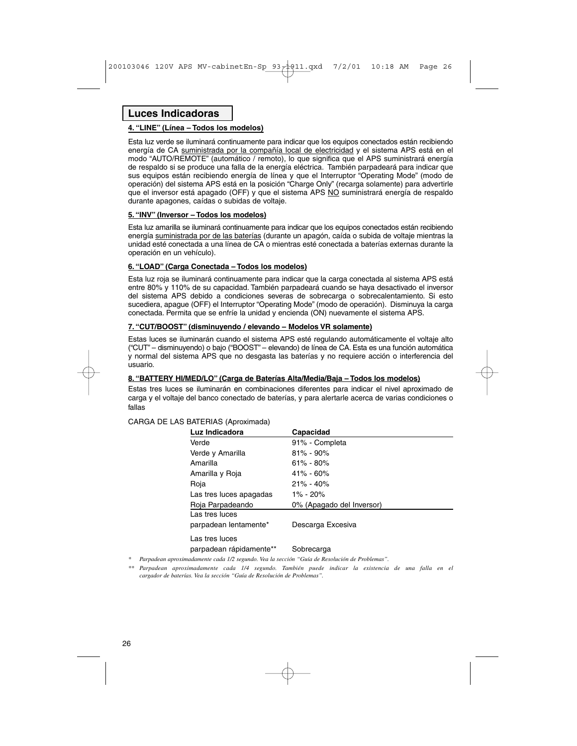# **Luces Indicadoras**

#### **4. "LINE" (Línea – Todos los modelos)**

Esta luz verde se iluminará continuamente para indicar que los equipos conectados están recibiendo energía de CA suministrada por la compañía local de electricidad y el sistema APS está en el modo "AUTO/REMOTE" (automático / remoto), lo que significa que el APS suministrará energía de respaldo si se produce una falla de la energía eléctrica. También parpadeará para indicar que sus equipos están recibiendo energía de línea y que el Interruptor "Operating Mode" (modo de operación) del sistema APS está en la posición "Charge Only" (recarga solamente) para advertirle que el inversor está apagado (OFF) y que el sistema APS NO suministrará energía de respaldo durante apagones, caídas o subidas de voltaje.

#### **5. "INV" (Inversor – Todos los modelos)**

Esta luz amarilla se iluminará continuamente para indicar que los equipos conectados están recibiendo energía suministrada por de las baterías (durante un apagón, caída o subida de voltaje mientras la unidad esté conectada a una línea de CA o mientras esté conectada a baterías externas durante la operación en un vehículo).

#### **6. "LOAD" (Carga Conectada – Todos los modelos)**

Esta luz roja se iluminará continuamente para indicar que la carga conectada al sistema APS está entre 80% y 110% de su capacidad. También parpadeará cuando se haya desactivado el inversor del sistema APS debido a condiciones severas de sobrecarga o sobrecalentamiento. Si esto sucediera, apague (OFF) el Interruptor "Operating Mode" (modo de operación). Disminuya la carga conectada. Permita que se enfríe la unidad y encienda (ON) nuevamente el sistema APS.

#### **7. "CUT/BOOST" (disminuyendo / elevando – Modelos VR solamente)**

Estas luces se iluminarán cuando el sistema APS esté regulando automáticamente el voltaje alto ("CUT" – disminuyendo) o bajo ("BOOST" – elevando) de línea de CA. Esta es una función automática y normal del sistema APS que no desgasta las baterías y no requiere acción o interferencia del usuario.

#### **8. "BATTERY HI/MED/LO" (Carga de Baterías Alta/Media/Baja – Todos los modelos)**

Estas tres luces se iluminarán en combinaciones diferentes para indicar el nivel aproximado de carga y el voltaje del banco conectado de baterías, y para alertarle acerca de varias condiciones o fallas

#### CARGA DE LAS BATERIAS (Aproximada)

| Luz Indicadora          | Capacidad                 |
|-------------------------|---------------------------|
| Verde                   | 91% - Completa            |
| Verde y Amarilla        | $81\% - 90\%$             |
| Amarilla                | $61\% - 80\%$             |
| Amarilla y Roja         | $41\% - 60\%$             |
| Roja                    | $21\% - 40\%$             |
| Las tres luces apagadas | $1\% - 20\%$              |
| Roja Parpadeando        | 0% (Apagado del Inversor) |
| Las tres luces          |                           |
| parpadean lentamente*   | Descarga Excesiva         |
| Las tres luces          |                           |

#### parpadean rápidamente\*\* Sobrecarga

*\* Parpadean aproximadamente cada 1/2 segundo. Vea la sección "Guía de Resolución de Problemas".*

*\*\* Parpadean aproximadamente cada 1/4 segundo. También puede indicar la existencia de una falla en el cargador de baterías. Vea la sección "Guía de Resolución de Problemas".*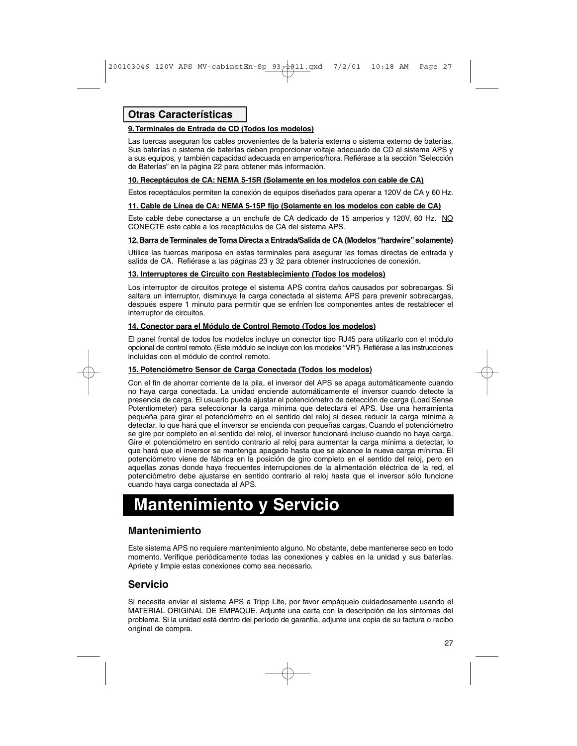# **Otras Características**

#### **9.Terminales de Entrada de CD (Todos los modelos)**

Las tuercas aseguran los cables provenientes de la batería externa o sistema externo de baterías. Sus baterías o sistema de baterías deben proporcionar voltaje adecuado de CD al sistema APS y a sus equipos, y también capacidad adecuada en amperios/hora. Refiérase a la sección "Selección de Baterías" en la página 22 para obtener más información.

#### **10. Receptáculos de CA: NEMA 5-15R (Solamente en los modelos con cable de CA)**

Estos receptáculos permiten la conexión de equipos diseñados para operar a 120V de CA y 60 Hz.

#### **11. Cable de Línea de CA: NEMA 5-15P fijo (Solamente en los modelos con cable de CA)**

Este cable debe conectarse a un enchufe de CA dedicado de 15 amperios y 120V, 60 Hz. NO CONECTE este cable a los receptáculos de CA del sistema APS.

#### **12. Barra de Terminales de Toma Directa a Entrada/Salida de CA (Modelos "hardwire" solamente)**

Utilice las tuercas mariposa en estas terminales para asegurar las tomas directas de entrada y salida de CA. Refiérase a las páginas 23 y 32 para obtener instrucciones de conexión.

#### **13. Interruptores de Circuito con Restablecimiento (Todos los modelos)**

Los interruptor de circuitos protege el sistema APS contra daños causados por sobrecargas. Si saltara un interruptor, disminuya la carga conectada al sistema APS para prevenir sobrecargas, después espere 1 minuto para permitir que se enfríen los componentes antes de restablecer el interruptor de circuitos.

#### **14. Conector para el Módulo de Control Remoto (Todos los modelos)**

El panel frontal de todos los modelos incluye un conector tipo RJ45 para utilizarlo con el módulo opcional de control remoto. (Este módulo se incluye con los modelos "VR"). Refiérase a las instrucciones incluidas con el módulo de control remoto.

#### **15. Potenciómetro Sensor de Carga Conectada (Todos los modelos)**

Con el fin de ahorrar corriente de la pila, el inversor del APS se apaga automáticamente cuando no haya carga conectada. La unidad enciende automáticamente el inversor cuando detecte la presencia de carga. El usuario puede ajustar el potenciómetro de detección de carga (Load Sense Potentiometer) para seleccionar la carga mínima que detectará el APS. Use una herramienta pequeña para girar el potenciómetro en el sentido del reloj si desea reducir la carga mínima a detectar, lo que hará que el inversor se encienda con pequeñas cargas. Cuando el potenciómetro se gire por completo en el sentido del reloj, el inversor funcionará incluso cuando no haya carga. Gire el potenciómetro en sentido contrario al reloj para aumentar la carga mínima a detectar, lo que hará que el inversor se mantenga apagado hasta que se alcance la nueva carga mínima. El potenciómetro viene de fábrica en la posición de giro completo en el sentido del reloj, pero en aquellas zonas donde haya frecuentes interrupciones de la alimentación eléctrica de la red, el potenciómetro debe ajustarse en sentido contrario al reloj hasta que el inversor sólo funcione cuando haya carga conectada al APS.

# **Mantenimiento y Servicio**

### **Mantenimiento**

Este sistema APS no requiere mantenimiento alguno. No obstante, debe mantenerse seco en todo momento. Verifique periódicamente todas las conexiones y cables en la unidad y sus baterías. Apriete y limpie estas conexiones como sea necesario.

## **Servicio**

Si necesita enviar el sistema APS a Tripp Lite, por favor empáquelo cuidadosamente usando el MATERIAL ORIGINAL DE EMPAQUE. Adjunte una carta con la descripción de los síntomas del problema. Si la unidad está dentro del período de garantía, adjunte una copia de su factura o recibo original de compra.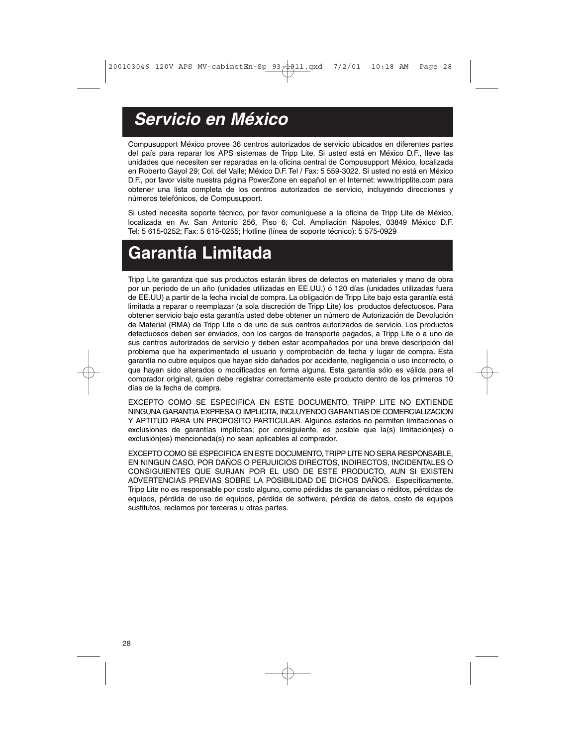# **Servicio en México**

Compusupport México provee 36 centros autorizados de servicio ubicados en diferentes partes del país para reparar los APS sistemas de Tripp Lite. Si usted está en México D.F., lleve las unidades que necesiten ser reparadas en la oficina central de Compusupport México, localizada en Roberto Gayol 29; Col. del Valle; México D.F. Tel / Fax: 5 559-3022. Si usted no está en México D.F., por favor visite nuestra página PowerZone en español en el Internet: www.tripplite.com para obtener una lista completa de los centros autorizados de servicio, incluyendo direcciones y números telefónicos, de Compusupport.

Si usted necesita soporte técnico, por favor comuníquese a la oficina de Tripp Lite de México, localizada en Av. San Antonio 256, Piso 6; Col. Ampliación Nápoles, 03849 México D.F. Tel: 5 615-0252; Fax: 5 615-0255; Hotline (línea de soporte técnico): 5 575-0929

# **Garantía Limitada**

Tripp Lite garantiza que sus productos estarán libres de defectos en materiales y mano de obra por un período de un año (unidades utilizadas en EE.UU.) ó 120 días (unidades utilizadas fuera de EE.UU) a partir de la fecha inicial de compra. La obligación de Tripp Lite bajo esta garantía está limitada a reparar o reemplazar (a sola discreción de Tripp Lite) los productos defectuosos. Para obtener servicio bajo esta garantía usted debe obtener un número de Autorización de Devolución de Material (RMA) de Tripp Lite o de uno de sus centros autorizados de servicio. Los productos defectuosos deben ser enviados, con los cargos de transporte pagados, a Tripp Lite o a uno de sus centros autorizados de servicio y deben estar acompañados por una breve descripción del problema que ha experimentado el usuario y comprobación de fecha y lugar de compra. Esta garantía no cubre equipos que hayan sido dañados por accidente, negligencia o uso incorrecto, o que hayan sido alterados o modificados en forma alguna. Esta garantía sólo es válida para el comprador original, quien debe registrar correctamente este producto dentro de los primeros 10 días de la fecha de compra.

EXCEPTO COMO SE ESPECIFICA EN ESTE DOCUMENTO, TRIPP LITE NO EXTIENDE NINGUNA GARANTIA EXPRESA O IMPLICITA, INCLUYENDO GARANTIAS DE COMERCIALIZACION Y APTITUD PARA UN PROPOSITO PARTICULAR. Algunos estados no permiten limitaciones o exclusiones de garantías implícitas; por consiguiente, es posible que la(s) limitación(es) o exclusión(es) mencionada(s) no sean aplicables al comprador.

EXCEPTO COMO SE ESPECIFICA EN ESTE DOCUMENTO, TRIPP LITE NO SERA RESPONSABLE, EN NINGUN CASO, POR DAÑOS O PERJUICIOS DIRECTOS, INDIRECTOS, INCIDENTALES O CONSIGUIENTES QUE SURJAN POR EL USO DE ESTE PRODUCTO, AUN SI EXISTEN ADVERTENCIAS PREVIAS SOBRE LA POSIBILIDAD DE DICHOS DAÑOS. Específicamente, Tripp Lite no es responsable por costo alguno, como pérdidas de ganancias o réditos, pérdidas de equipos, pérdida de uso de equipos, pérdida de software, pérdida de datos, costo de equipos sustitutos, reclamos por terceras u otras partes.

28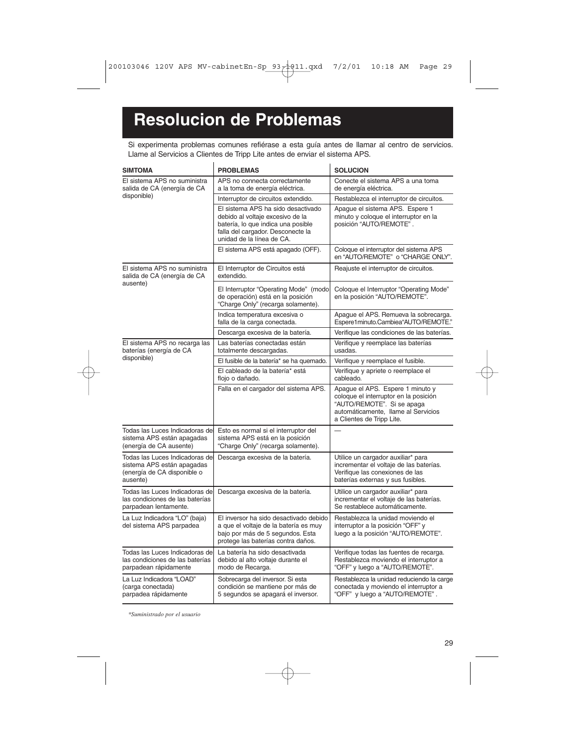# **Resolucion de Problemas**

Si experimenta problemas comunes refiérase a esta guía antes de llamar al centro de servicios. Llame al Servicios a Clientes de Tripp Lite antes de enviar el sistema APS.

| <b>SIMTOMA</b>                                                                                          | <b>PROBLEMAS</b>                                                                                                                                                               | <b>SOLUCION</b>                                                                                                                                                             |
|---------------------------------------------------------------------------------------------------------|--------------------------------------------------------------------------------------------------------------------------------------------------------------------------------|-----------------------------------------------------------------------------------------------------------------------------------------------------------------------------|
| El sistema APS no suministra<br>salida de CA (energía de CA                                             | APS no connecta correctamente<br>a la toma de energía eléctrica.                                                                                                               | Conecte el sistema APS a una toma<br>de energía eléctrica.                                                                                                                  |
| disponible)                                                                                             | Interruptor de circuitos extendido.                                                                                                                                            | Restablezca el interruptor de circuitos.                                                                                                                                    |
|                                                                                                         | El sistema APS ha sido desactivado<br>debido al voltaje excesivo de la<br>batería, lo que indica una posible<br>falla del cargador. Desconecte la<br>unidad de la línea de CA. | Apaque el sistema APS. Espere 1<br>minuto y coloque el interruptor en la<br>posición "AUTO/REMOTE".                                                                         |
|                                                                                                         | El sistema APS está apagado (OFF).                                                                                                                                             | Coloque el interruptor del sistema APS<br>en "AUTO/REMOTE" o "CHARGE ONLY".                                                                                                 |
| El sistema APS no suministra<br>salida de CA (energía de CA                                             | El Interruptor de Circuitos está<br>extendido.                                                                                                                                 | Reajuste el interruptor de circuitos.                                                                                                                                       |
| ausente)                                                                                                | El Interruptor "Operating Mode" (modo<br>de operación) está en la posición<br>"Charge Only" (recarga solamente).                                                               | Coloque el Interruptor "Operating Mode"<br>en la posición "AUTO/REMOTE".                                                                                                    |
|                                                                                                         | Indica temperatura excesiva o<br>falla de la carga conectada.                                                                                                                  | Apague el APS. Remueva la sobrecarga.<br>Espere1minuto.Cambiea"AUTO/REMOTE."                                                                                                |
|                                                                                                         | Descarga excesiva de la batería.                                                                                                                                               | Verifique las condiciones de las baterías.                                                                                                                                  |
| El sistema APS no recarga las<br>baterías (energía de CA                                                | Las baterías conectadas están<br>totalmente descargadas.                                                                                                                       | Verifique y reemplace las baterías<br>usadas.                                                                                                                               |
| disponible)                                                                                             | El fusible de la batería* se ha quemado.                                                                                                                                       | Verifique y reemplace el fusible.                                                                                                                                           |
|                                                                                                         | El cableado de la batería* está<br>floio o dañado.                                                                                                                             | Verifique y apriete o reemplace el<br>cableado.                                                                                                                             |
|                                                                                                         | Falla en el cargador del sistema APS.                                                                                                                                          | Apaque el APS. Espere 1 minuto y<br>coloque el interruptor en la posición<br>"AUTO/REMOTE". Si se apaga<br>automáticamente, llame al Servicios<br>a Clientes de Tripp Lite. |
| Todas las Luces Indicadoras de<br>sistema APS están apagadas<br>(energía de CA ausente)                 | Esto es normal si el interruptor del<br>sistema APS está en la posición<br>"Charge Only" (recarga solamente).                                                                  | $\equiv$                                                                                                                                                                    |
| Todas las Luces Indicadoras de<br>sistema APS están apagadas<br>(energía de CA disponible o<br>ausente) | Descarga excesiva de la batería.                                                                                                                                               | Utilice un cargador auxiliar* para<br>incrementar el voltaje de las baterías.<br>Verifique las conexiones de las<br>baterías externas y sus fusibles.                       |
| Todas las Luces Indicadoras de<br>las condiciones de las baterías<br>parpadean lentamente.              | Descarga excesiva de la batería.                                                                                                                                               | Utilice un cargador auxiliar* para<br>incrementar el voltaje de las baterías.<br>Se restablece automáticamente.                                                             |
| La Luz Indicadora "LO" (baja)<br>del sistema APS parpadea                                               | El inversor ha sido desactivado debido<br>a que el voltaje de la batería es muy<br>bajo por más de 5 segundos. Esta<br>protege las baterías contra daños.                      | Restablezca la unidad moviendo el<br>interruptor a la posición "OFF" y<br>luego a la posición "AUTO/REMOTE".                                                                |
| Todas las Luces Indicadoras de<br>las condiciones de las baterías<br>parpadean rápidamente              | La batería ha sido desactivada<br>debido al alto voltaje durante el<br>modo de Recarga.                                                                                        | Verifique todas las fuentes de recarga.<br>Restablezca moviendo el interruptor a<br>"OFF" y luego a "AUTO/REMOTE".                                                          |
| La Luz Indicadora "LOAD"<br>(carga conectada)<br>parpadea rápidamente                                   | Sobrecarga del inversor. Si esta<br>condición se mantiene por más de<br>5 segundos se apagará el inversor.                                                                     | Restablezca la unidad reduciendo la carge<br>conectada y moviendo el interruptor a<br>"OFF" y luego a "AUTO/REMOTE".                                                        |

*\*Suministrado por el usuario*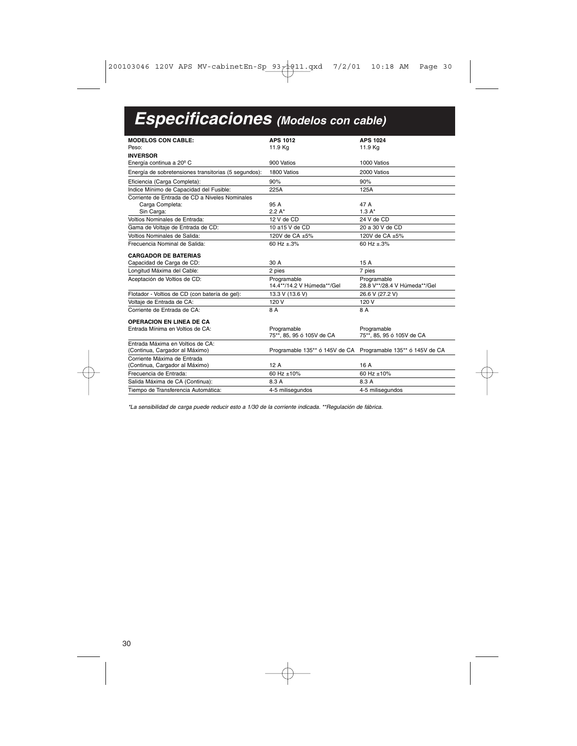# **Especificaciones (Modelos con cable)**

| <b>MODELOS CON CABLE:</b>                            | <b>APS 1012</b>                           | <b>APS 1024</b>                                               |
|------------------------------------------------------|-------------------------------------------|---------------------------------------------------------------|
| Peso:                                                | 11.9 Kg                                   | 11.9 Kg                                                       |
| <b>INVERSOR</b>                                      |                                           |                                                               |
| Energía continua a 20 <sup>°</sup> C                 | 900 Vatios                                | 1000 Vatios                                                   |
| Energía de sobretensiones transitorias (5 segundos): | 1800 Vatios                               | 2000 Vatios                                                   |
| Eficiencia (Carga Completa):                         | 90%                                       | 90%                                                           |
| Indice Mínimo de Capacidad del Fusible:              | 225A                                      | 125A                                                          |
| Corriente de Entrada de CD a Niveles Nominales       |                                           |                                                               |
| Carga Completa:                                      | 95 A                                      | 47 A                                                          |
| Sin Carga:                                           | $2.2 A*$                                  | $1.3A*$                                                       |
| Voltios Nominales de Entrada:                        | 12 V de CD                                | 24 V de CD                                                    |
| Gama de Voltaje de Entrada de CD:                    | 10 a15 V de CD                            | 20 a 30 V de CD                                               |
| Voltios Nominales de Salida:                         | 120V de CA ±5%                            | 120V de CA ±5%                                                |
| Frecuencia Nominal de Salida:                        | 60 Hz ±.3%                                | 60 Hz ±.3%                                                    |
| <b>CARGADOR DE BATERIAS</b>                          |                                           |                                                               |
| Capacidad de Carga de CD:                            | 30 A                                      | 15A                                                           |
| Longitud Máxima del Cable:                           | 2 pies                                    | 7 pies                                                        |
| Aceptación de Voltios de CD:                         | Programable<br>14.4**/14.2 V Húmeda**/Gel | Programable<br>28.8 V**/28.4 V Húmeda**/Gel                   |
| Flotador - Voltios de CD (con batería de gel):       | 13.3 V (13.6 V)                           | 26.6 V (27.2 V)                                               |
| Voltaje de Entrada de CA:                            | 120 V                                     | 120 V                                                         |
| Corriente de Entrada de CA:                          | 8 A                                       | 8 A                                                           |
| <b>OPERACION EN LINEA DE CA</b>                      |                                           |                                                               |
| Entrada Mínima en Voltios de CA:                     | Programable                               | Programable                                                   |
|                                                      | 75**, 85, 95 ó 105V de CA                 | 75**, 85, 95 ó 105V de CA                                     |
| Entrada Máxima en Voltios de CA:                     |                                           |                                                               |
| (Continua, Cargador al Máximo)                       |                                           | Programable 135** ó 145V de CA Programable 135** ó 145V de CA |
| Corriente Máxima de Entrada                          |                                           |                                                               |
| (Continua, Cargador al Máximo)                       | 12A                                       | 16 A                                                          |
| Frecuencia de Entrada:                               | 60 Hz ±10%                                | 60 Hz ±10%                                                    |
| Salida Máxima de CA (Continua):                      | 8.3 A                                     | 8.3 A                                                         |
|                                                      |                                           |                                                               |

\*La sensibilidad de carga puede reducir esto a 1/30 de la corriente indicada. \*\*Regulación de fábrica.

30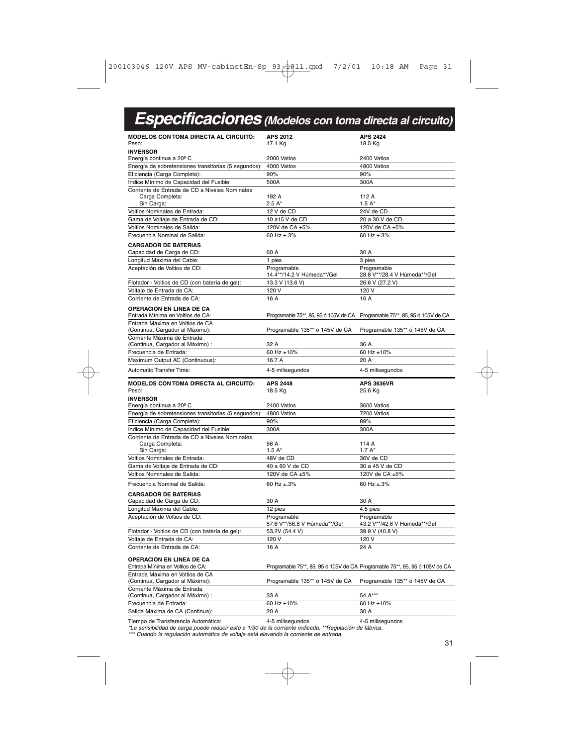| <b>Especificaciones</b> (Modelos con toma directa al circuito)                                                                                                                                                                                                                                                                                                                                                                                                                                                                                                                                                   |                                             |                                                                             |
|------------------------------------------------------------------------------------------------------------------------------------------------------------------------------------------------------------------------------------------------------------------------------------------------------------------------------------------------------------------------------------------------------------------------------------------------------------------------------------------------------------------------------------------------------------------------------------------------------------------|---------------------------------------------|-----------------------------------------------------------------------------|
| <b>MODELOS CON TOMA DIRECTA AL CIRCUITO:</b><br>Peso:                                                                                                                                                                                                                                                                                                                                                                                                                                                                                                                                                            | <b>APS 2012</b><br>17.1 Kg                  | <b>APS 2424</b><br>18.5 Kg                                                  |
| <b>INVERSOR</b>                                                                                                                                                                                                                                                                                                                                                                                                                                                                                                                                                                                                  |                                             |                                                                             |
| Energía continua a 20 <sup>°</sup> C                                                                                                                                                                                                                                                                                                                                                                                                                                                                                                                                                                             | 2000 Vatios                                 | 2400 Vatios                                                                 |
| Energía de sobretensiones transitorias (5 segundos):                                                                                                                                                                                                                                                                                                                                                                                                                                                                                                                                                             | 4000 Vatios                                 | 4800 Vatios                                                                 |
| Eficiencia (Carga Completa):                                                                                                                                                                                                                                                                                                                                                                                                                                                                                                                                                                                     | 90%                                         | 90%                                                                         |
| Indice Mínimo de Capacidad del Fusible:                                                                                                                                                                                                                                                                                                                                                                                                                                                                                                                                                                          | 500A                                        | 300A                                                                        |
| Corriente de Entrada de CD a Niveles Nominales                                                                                                                                                                                                                                                                                                                                                                                                                                                                                                                                                                   |                                             |                                                                             |
| Carga Completa:                                                                                                                                                                                                                                                                                                                                                                                                                                                                                                                                                                                                  | 192 A                                       | 112 A                                                                       |
| Sin Carga:                                                                                                                                                                                                                                                                                                                                                                                                                                                                                                                                                                                                       | $2.5A*$                                     | $1.5A*$                                                                     |
| Voltios Nominales de Entrada:                                                                                                                                                                                                                                                                                                                                                                                                                                                                                                                                                                                    | 12 V de CD                                  | 24V de CD                                                                   |
| Gama de Voltaje de Entrada de CD:                                                                                                                                                                                                                                                                                                                                                                                                                                                                                                                                                                                | 10 a15 V de CD                              | 20 a 30 V de CD                                                             |
| Voltios Nominales de Salida:                                                                                                                                                                                                                                                                                                                                                                                                                                                                                                                                                                                     | 120V de CA ±5%                              | 120V de CA ±5%                                                              |
| Frecuencia Nominal de Salida:                                                                                                                                                                                                                                                                                                                                                                                                                                                                                                                                                                                    | 60 Hz ±.3%                                  | 60 Hz $\pm$ .3%                                                             |
| <b>CARGADOR DE BATERIAS</b>                                                                                                                                                                                                                                                                                                                                                                                                                                                                                                                                                                                      |                                             |                                                                             |
| Capacidad de Carga de CD:                                                                                                                                                                                                                                                                                                                                                                                                                                                                                                                                                                                        | 60 A                                        | 30 A                                                                        |
| Longitud Máxima del Cable:                                                                                                                                                                                                                                                                                                                                                                                                                                                                                                                                                                                       | 1 pies                                      | 3 pies                                                                      |
| Aceptación de Voltios de CD:                                                                                                                                                                                                                                                                                                                                                                                                                                                                                                                                                                                     | Programable<br>14.4**/14.2 V Húmeda**/Gel   | Programable<br>28.8 V**/28.4 V Húmeda**/Gel                                 |
| Flotador - Voltios de CD (con batería de gel):                                                                                                                                                                                                                                                                                                                                                                                                                                                                                                                                                                   | 13.3 V (13.6 V)                             | 26.6 V (27.2 V)                                                             |
| Voltaje de Entrada de CA:                                                                                                                                                                                                                                                                                                                                                                                                                                                                                                                                                                                        | 120 V                                       | 120 V                                                                       |
| Corriente de Entrada de CA:                                                                                                                                                                                                                                                                                                                                                                                                                                                                                                                                                                                      | 16 A                                        | 16 A                                                                        |
| <b>OPERACION EN LINEA DE CA</b>                                                                                                                                                                                                                                                                                                                                                                                                                                                                                                                                                                                  |                                             |                                                                             |
| Entrada Mínima en Voltios de CA:                                                                                                                                                                                                                                                                                                                                                                                                                                                                                                                                                                                 |                                             | Programable 75**, 85, 95 ó 105V de CA Programable 75**, 85, 95 ó 105V de CA |
| Entrada Máxima en Voltios de CA                                                                                                                                                                                                                                                                                                                                                                                                                                                                                                                                                                                  |                                             |                                                                             |
| (Continua, Cargador al Máximo):                                                                                                                                                                                                                                                                                                                                                                                                                                                                                                                                                                                  | Programable 135** ó 145V de CA              | Programable 135** ó 145V de CA                                              |
| Corriente Máxima de Entrada                                                                                                                                                                                                                                                                                                                                                                                                                                                                                                                                                                                      |                                             |                                                                             |
| (Continua, Cargador al Máximo) :                                                                                                                                                                                                                                                                                                                                                                                                                                                                                                                                                                                 | 32 A                                        | 36 A                                                                        |
| Frecuencia de Entrada:                                                                                                                                                                                                                                                                                                                                                                                                                                                                                                                                                                                           | 60 Hz ±10%                                  | 60 Hz ±10%                                                                  |
| Maximum Output AC (Continuous):                                                                                                                                                                                                                                                                                                                                                                                                                                                                                                                                                                                  | 16.7 A                                      | 20 A                                                                        |
| Automatic Transfer Time:                                                                                                                                                                                                                                                                                                                                                                                                                                                                                                                                                                                         | 4-5 milisegundos                            | 4-5 milisegundos                                                            |
| MODELOS CON TOMA DIRECTA AL CIRCUITO:<br>Peso:                                                                                                                                                                                                                                                                                                                                                                                                                                                                                                                                                                   | <b>APS 2448</b><br>18.5 Kg                  | <b>APS 3636VR</b><br>25.6 Kg                                                |
| <b>INVERSOR</b>                                                                                                                                                                                                                                                                                                                                                                                                                                                                                                                                                                                                  |                                             |                                                                             |
| Energía continua a 20 <sup>°</sup> C                                                                                                                                                                                                                                                                                                                                                                                                                                                                                                                                                                             | 2400 Vatios                                 | 3600 Vatios                                                                 |
| Energía de sobretensiones transitorias (5 segundos):                                                                                                                                                                                                                                                                                                                                                                                                                                                                                                                                                             | 4800 Vatios                                 | 7200 Vatios                                                                 |
| Eficiencia (Carga Completa):                                                                                                                                                                                                                                                                                                                                                                                                                                                                                                                                                                                     | 90%                                         | 89%                                                                         |
| Indice Mínimo de Capacidad del Fusible:                                                                                                                                                                                                                                                                                                                                                                                                                                                                                                                                                                          | 300A                                        | 300A                                                                        |
| Corriente de Entrada de CD a Niveles Nominales                                                                                                                                                                                                                                                                                                                                                                                                                                                                                                                                                                   |                                             |                                                                             |
| Carga Completa:                                                                                                                                                                                                                                                                                                                                                                                                                                                                                                                                                                                                  | 56 A                                        | 114 A                                                                       |
| Sin Carga:                                                                                                                                                                                                                                                                                                                                                                                                                                                                                                                                                                                                       | $1.5A*$                                     | 1.7 $A^*$                                                                   |
| Voltios Nominales de Entrada:                                                                                                                                                                                                                                                                                                                                                                                                                                                                                                                                                                                    | 48V de CD                                   | 36V de CD                                                                   |
|                                                                                                                                                                                                                                                                                                                                                                                                                                                                                                                                                                                                                  |                                             |                                                                             |
|                                                                                                                                                                                                                                                                                                                                                                                                                                                                                                                                                                                                                  |                                             |                                                                             |
|                                                                                                                                                                                                                                                                                                                                                                                                                                                                                                                                                                                                                  | 40 a 60 V de CD                             | 30 a 45 V de CD                                                             |
|                                                                                                                                                                                                                                                                                                                                                                                                                                                                                                                                                                                                                  | 120V de CA ±5%<br>60 Hz ±.3%                | 120V de CA ±5%<br>60 Hz ±.3%                                                |
|                                                                                                                                                                                                                                                                                                                                                                                                                                                                                                                                                                                                                  |                                             |                                                                             |
|                                                                                                                                                                                                                                                                                                                                                                                                                                                                                                                                                                                                                  | 30 A                                        | 30 A                                                                        |
|                                                                                                                                                                                                                                                                                                                                                                                                                                                                                                                                                                                                                  | 12 pies                                     | 4.5 pies                                                                    |
|                                                                                                                                                                                                                                                                                                                                                                                                                                                                                                                                                                                                                  | Programable<br>57.6 V**/56.8 V Húmeda**/Gel | Programable<br>43.2 V**/42.6 V Húmeda**/Gel                                 |
|                                                                                                                                                                                                                                                                                                                                                                                                                                                                                                                                                                                                                  | 53.2V (54.4 V)                              | 39.9 V (40.8 V)                                                             |
|                                                                                                                                                                                                                                                                                                                                                                                                                                                                                                                                                                                                                  | 120 V                                       | 120 V                                                                       |
|                                                                                                                                                                                                                                                                                                                                                                                                                                                                                                                                                                                                                  | 16 A                                        | 24 A                                                                        |
|                                                                                                                                                                                                                                                                                                                                                                                                                                                                                                                                                                                                                  |                                             | Programable 75**, 85, 95 ó 105V de CA Programable 75**, 85, 95 ó 105V de CA |
|                                                                                                                                                                                                                                                                                                                                                                                                                                                                                                                                                                                                                  |                                             |                                                                             |
|                                                                                                                                                                                                                                                                                                                                                                                                                                                                                                                                                                                                                  | Programable 135** ó 145V de CA              | Programable 135** ó 145V de CA                                              |
|                                                                                                                                                                                                                                                                                                                                                                                                                                                                                                                                                                                                                  |                                             |                                                                             |
|                                                                                                                                                                                                                                                                                                                                                                                                                                                                                                                                                                                                                  | 33 A                                        | 54 A***                                                                     |
|                                                                                                                                                                                                                                                                                                                                                                                                                                                                                                                                                                                                                  | 60 Hz ±10%                                  | 60 Hz ±10%                                                                  |
| Gama de Voltaje de Entrada de CD:<br>Voltios Nominales de Salida:<br>Frecuencia Nominal de Salida:<br><b>CARGADOR DE BATERIAS</b><br>Capacidad de Carga de CD:<br>Longitud Máxima del Cable:<br>Aceptación de Voltios de CD:<br>Flotador - Voltios de CD (con batería de gel):<br>Voltaje de Entrada de CA:<br>Corriente de Entrada de CA:<br>OPERACION EN LINEA DE CA<br>Entrada Mínima en Voltios de CA:<br>Entrada Máxima en Voltios de CA<br>(Continua, Cargador al Máximo):<br>Corriente Máxima de Entrada<br>(Continua, Cargador al Máximo) :<br>Frecuencia de Entrada:<br>Salida Máxima de CA (Continua): | 20 A                                        | 30 A                                                                        |

Tiempo de Transferencia Automática:<br>\*La sensibilidad de carga puede reducir esto a 1/30 de la corriente indicada. \*\*Regulación de fábrica.<br>\*\*\* Cuando la regulación automática de voltaje está elevando la corriente de entra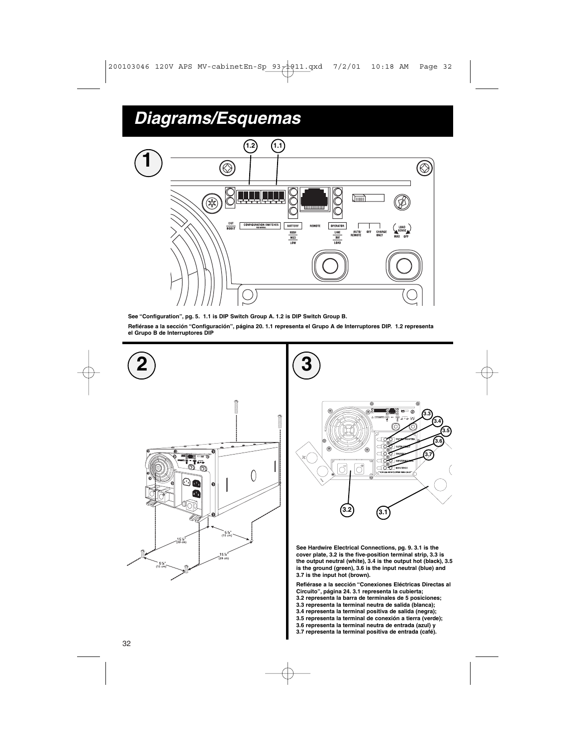

**See "Configuration", pg. 5. 1.1 is DIP Switch Group A. 1.2 is DIP Switch Group B.**

**Refiérase a la sección "Configuración", página 20. 1.1 representa el Grupo A de Interruptores DIP. 1.2 representa el Grupo B de Interruptores DIP**





**See Hardwire Electrical Connections, pg. 9. 3.1 is the cover plate, 3.2 is the five-position terminal strip, 3.3 is the output neutral (white), 3.4 is the output hot (black), 3.5 is the ground (green), 3.6 is the input neutral (blue) and 3.7 is the input hot (brown).**

**Refiérase a la sección "Conexiones Eléctricas Directas al Circuito", página 24. 3.1 representa la cubierta; 3.2 representa la barra de terminales de 5 posiciones; 3.3 representa la terminal neutra de salida (blanca); 3.4 representa la terminal positiva de salida (negra); 3.5 representa la terminal de conexión a tierra (verde); 3.6 representa la terminal neutra de entrada (azul) y 3.7 representa la terminal positiva de entrada (café).**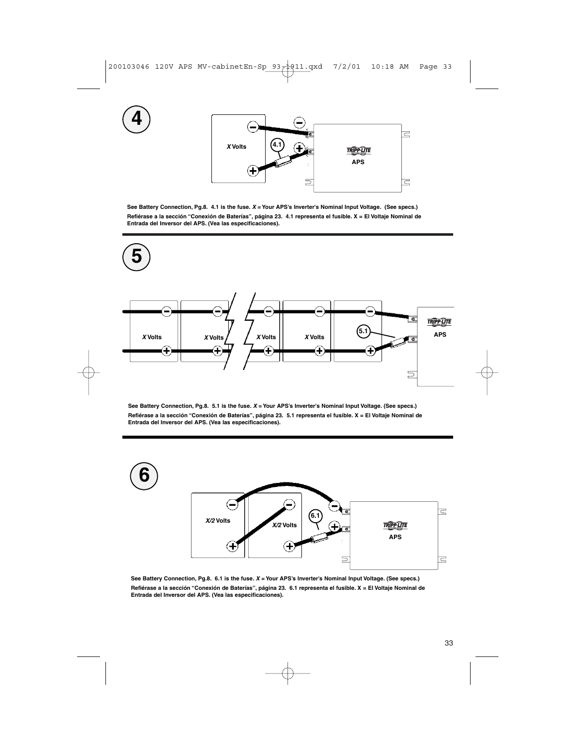

**See Battery Connection, Pg.8. 4.1 is the fuse. X = Your APS's Inverter's Nominal Input Voltage. (See specs.) Refiérase a la sección "Conexión de Baterías", página 23. 4.1 representa el fusible. X = El Voltaje Nominal de Entrada del Inversor del APS. (Vea las especificaciones).**



**See Battery Connection, Pg.8. 5.1 is the fuse. X = Your APS's Inverter's Nominal Input Voltage. (See specs.) Refiérase a la sección "Conexión de Baterías", página 23. 5.1 representa el fusible. X = El Voltaje Nominal de Entrada del Inversor del APS. (Vea las especificaciones).**



**See Battery Connection, Pg.8. 6.1 is the fuse. X = Your APS's Inverter's Nominal Input Voltage. (See specs.) Refiérase a la sección "Conexión de Baterías", página 23. 6.1 representa el fusible. X = El Voltaje Nominal de Entrada del Inversor del APS. (Vea las especificaciones).**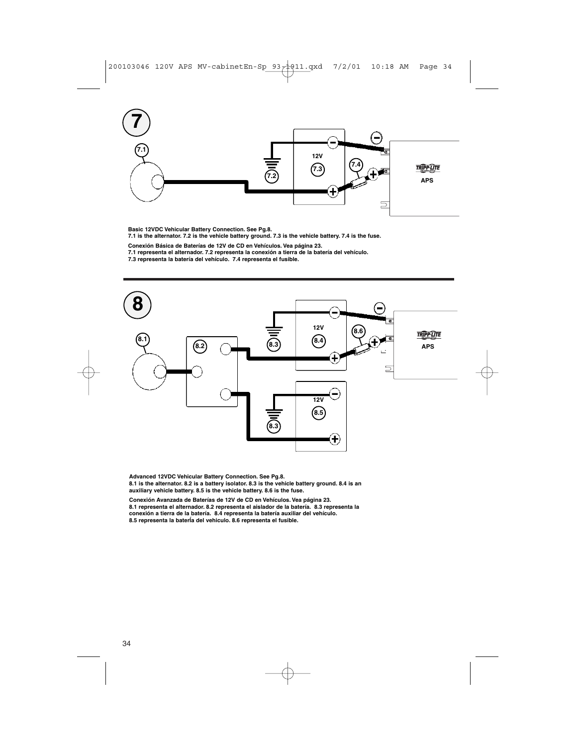

**Basic 12VDC Vehicular Battery Connection. See Pg.8. 7.1 is the alternator. 7.2 is the vehicle battery ground. 7.3 is the vehicle battery. 7.4 is the fuse.**

Conexión Básica de Baterías de 12V de CD en Vehículos. Vea página 23.<br>7.1 representa el alternador. 7.2 representa la conexión a tierra de la batería del vehículo.<br>7.3 representa la batería del vehículo. 7.4 representa el



Advanced 12VDC Vehicular Battery Connection. See Pg.8.<br>8.1 is the alternator. 8.2 is a battery isolator. 8.3 is the vehicle battery ground. 8.4 is an<br>auxiliary vehicle battery. 8.5 is the vehicle battery. 8.6 is the fuse.

**Conexión Avanzada de Baterías de 12V de CD en Vehículos. Vea página 23. 8.1 representa el alternador. 8.2 representa el aislador de la batería. 8.3 representa la conexión a tierra de la batería. 8.4 representa la batería auxiliar del vehículo. 8.5 representa la baterÍa del vehiculo. 8.6 representa el fusible.**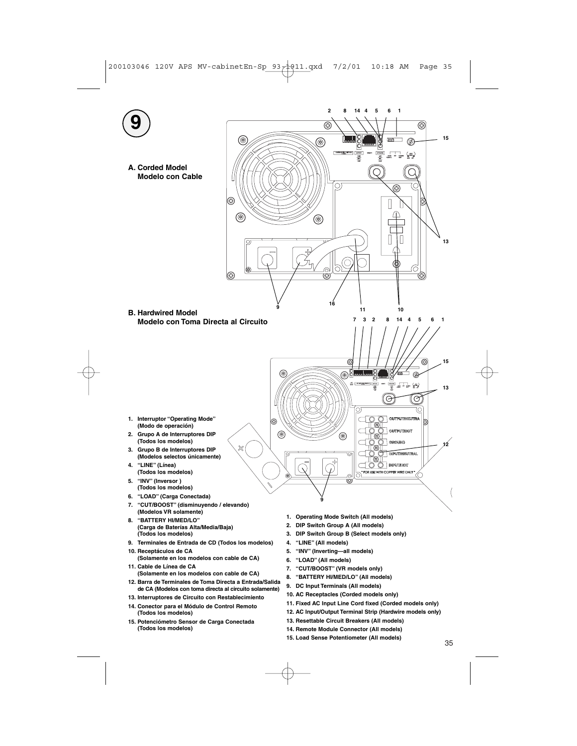

**15. Load Sense Potentiometer (All models)**

35